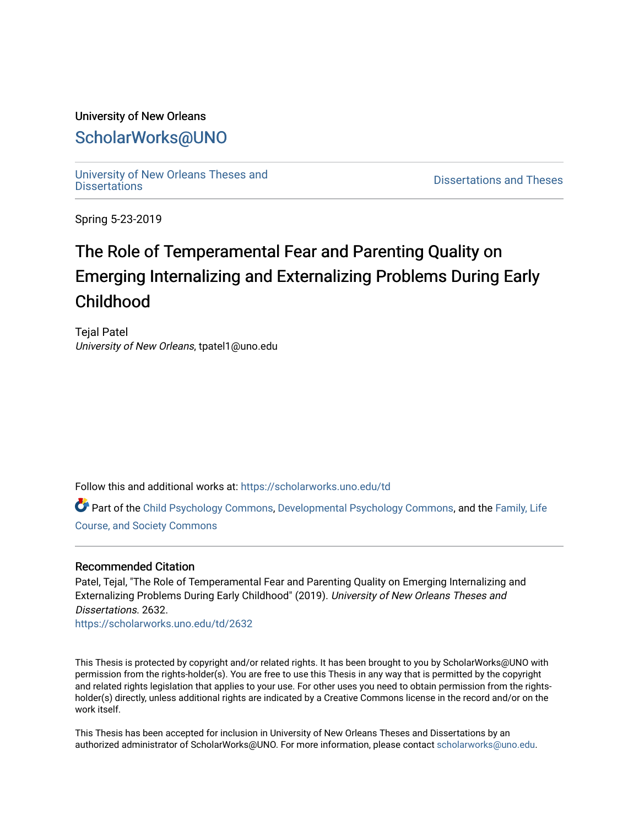## University of New Orleans [ScholarWorks@UNO](https://scholarworks.uno.edu/)

[University of New Orleans Theses and](https://scholarworks.uno.edu/td) 

[Dissertations](https://scholarworks.uno.edu/td) and Theses

Spring 5-23-2019

# The Role of Temperamental Fear and Parenting Quality on Emerging Internalizing and Externalizing Problems During Early Childhood

Tejal Patel University of New Orleans, tpatel1@uno.edu

Follow this and additional works at: [https://scholarworks.uno.edu/td](https://scholarworks.uno.edu/td?utm_source=scholarworks.uno.edu%2Ftd%2F2632&utm_medium=PDF&utm_campaign=PDFCoverPages)

Part of the [Child Psychology Commons,](http://network.bepress.com/hgg/discipline/1023?utm_source=scholarworks.uno.edu%2Ftd%2F2632&utm_medium=PDF&utm_campaign=PDFCoverPages) [Developmental Psychology Commons,](http://network.bepress.com/hgg/discipline/410?utm_source=scholarworks.uno.edu%2Ftd%2F2632&utm_medium=PDF&utm_campaign=PDFCoverPages) and the [Family, Life](http://network.bepress.com/hgg/discipline/419?utm_source=scholarworks.uno.edu%2Ftd%2F2632&utm_medium=PDF&utm_campaign=PDFCoverPages) [Course, and Society Commons](http://network.bepress.com/hgg/discipline/419?utm_source=scholarworks.uno.edu%2Ftd%2F2632&utm_medium=PDF&utm_campaign=PDFCoverPages)

#### Recommended Citation

Patel, Tejal, "The Role of Temperamental Fear and Parenting Quality on Emerging Internalizing and Externalizing Problems During Early Childhood" (2019). University of New Orleans Theses and Dissertations. 2632.

[https://scholarworks.uno.edu/td/2632](https://scholarworks.uno.edu/td/2632?utm_source=scholarworks.uno.edu%2Ftd%2F2632&utm_medium=PDF&utm_campaign=PDFCoverPages)

This Thesis is protected by copyright and/or related rights. It has been brought to you by ScholarWorks@UNO with permission from the rights-holder(s). You are free to use this Thesis in any way that is permitted by the copyright and related rights legislation that applies to your use. For other uses you need to obtain permission from the rightsholder(s) directly, unless additional rights are indicated by a Creative Commons license in the record and/or on the work itself.

This Thesis has been accepted for inclusion in University of New Orleans Theses and Dissertations by an authorized administrator of ScholarWorks@UNO. For more information, please contact [scholarworks@uno.edu.](mailto:scholarworks@uno.edu)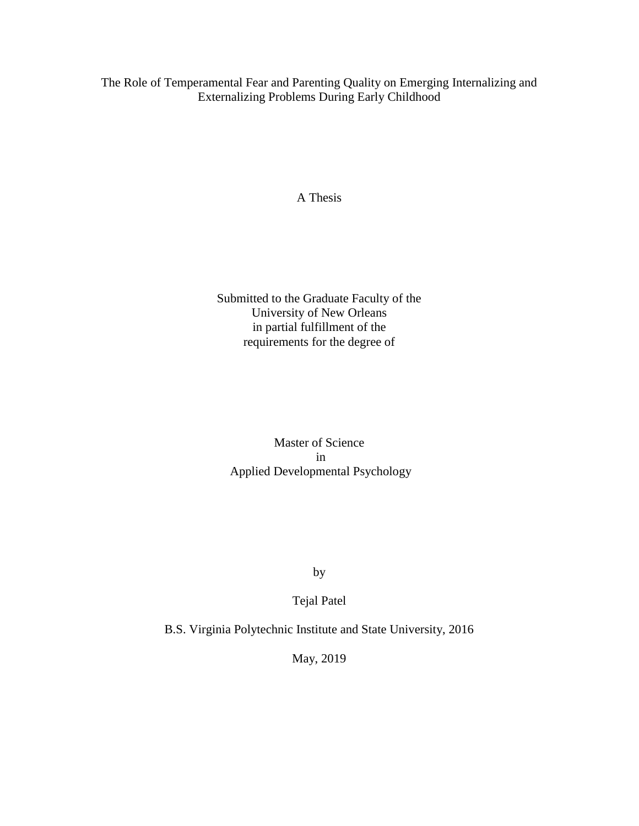The Role of Temperamental Fear and Parenting Quality on Emerging Internalizing and Externalizing Problems During Early Childhood

A Thesis

Submitted to the Graduate Faculty of the University of New Orleans in partial fulfillment of the requirements for the degree of

Master of Science in Applied Developmental Psychology

by

Tejal Patel

B.S. Virginia Polytechnic Institute and State University, 2016

May, 2019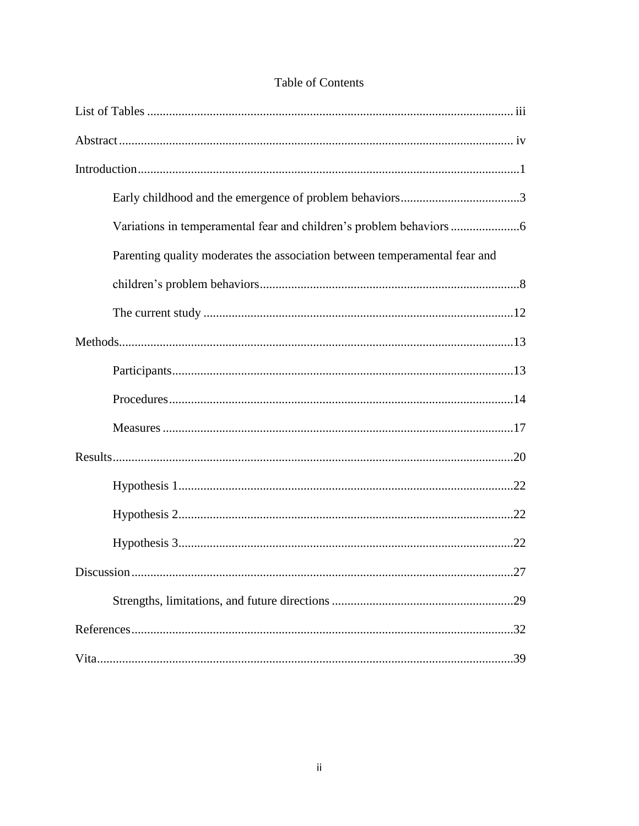| Variations in temperamental fear and children's problem behaviors          |
|----------------------------------------------------------------------------|
| Parenting quality moderates the association between temperamental fear and |
|                                                                            |
|                                                                            |
|                                                                            |
|                                                                            |
|                                                                            |
|                                                                            |
|                                                                            |
|                                                                            |
|                                                                            |
|                                                                            |
| 27                                                                         |
|                                                                            |
|                                                                            |
|                                                                            |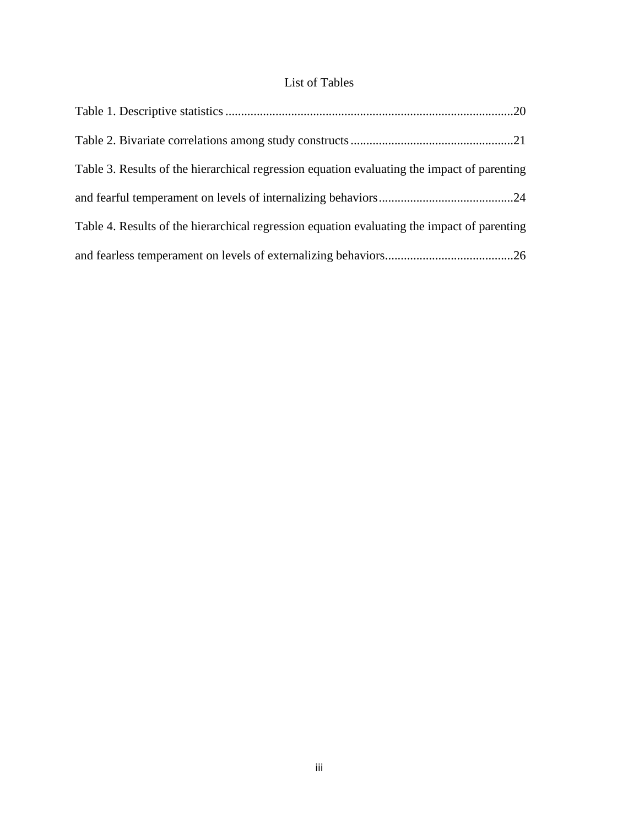### List of Tables

| Table 3. Results of the hierarchical regression equation evaluating the impact of parenting |
|---------------------------------------------------------------------------------------------|
|                                                                                             |
| Table 4. Results of the hierarchical regression equation evaluating the impact of parenting |
|                                                                                             |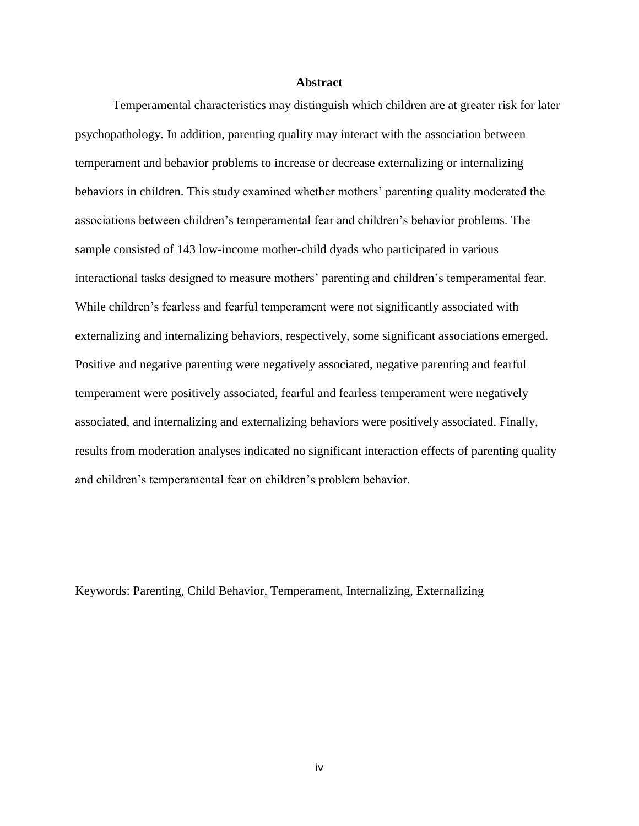#### **Abstract**

Temperamental characteristics may distinguish which children are at greater risk for later psychopathology. In addition, parenting quality may interact with the association between temperament and behavior problems to increase or decrease externalizing or internalizing behaviors in children. This study examined whether mothers' parenting quality moderated the associations between children's temperamental fear and children's behavior problems. The sample consisted of 143 low-income mother-child dyads who participated in various interactional tasks designed to measure mothers' parenting and children's temperamental fear. While children's fearless and fearful temperament were not significantly associated with externalizing and internalizing behaviors, respectively, some significant associations emerged. Positive and negative parenting were negatively associated, negative parenting and fearful temperament were positively associated, fearful and fearless temperament were negatively associated, and internalizing and externalizing behaviors were positively associated. Finally, results from moderation analyses indicated no significant interaction effects of parenting quality and children's temperamental fear on children's problem behavior.

Keywords: Parenting, Child Behavior, Temperament, Internalizing, Externalizing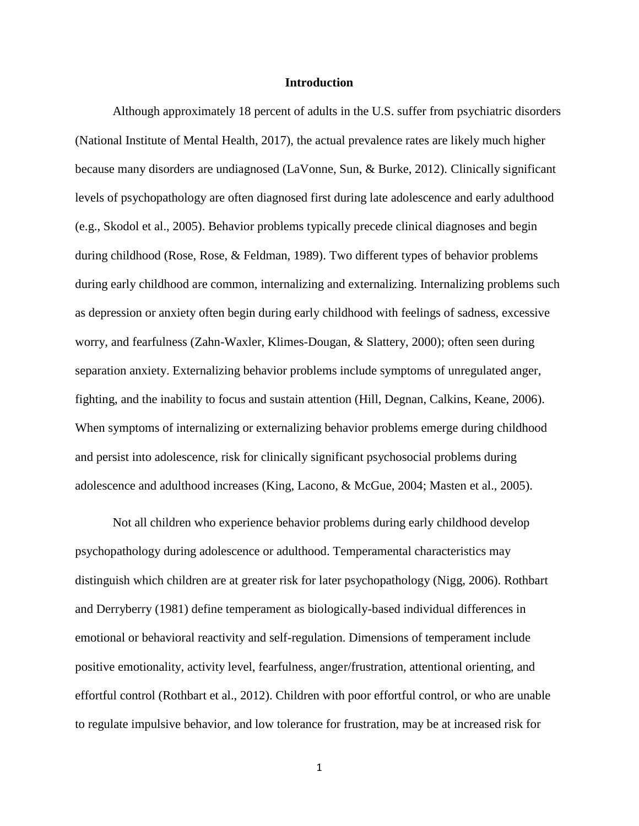#### **Introduction**

Although approximately 18 percent of adults in the U.S. suffer from psychiatric disorders (National Institute of Mental Health, 2017), the actual prevalence rates are likely much higher because many disorders are undiagnosed (LaVonne, Sun, & Burke, 2012). Clinically significant levels of psychopathology are often diagnosed first during late adolescence and early adulthood (e.g., Skodol et al., 2005). Behavior problems typically precede clinical diagnoses and begin during childhood (Rose, Rose, & Feldman, 1989). Two different types of behavior problems during early childhood are common, internalizing and externalizing. Internalizing problems such as depression or anxiety often begin during early childhood with feelings of sadness, excessive worry, and fearfulness (Zahn-Waxler, Klimes-Dougan, & Slattery, 2000); often seen during separation anxiety. Externalizing behavior problems include symptoms of unregulated anger, fighting, and the inability to focus and sustain attention (Hill, Degnan, Calkins, Keane, 2006). When symptoms of internalizing or externalizing behavior problems emerge during childhood and persist into adolescence, risk for clinically significant psychosocial problems during adolescence and adulthood increases (King, Lacono, & McGue, 2004; Masten et al., 2005).

Not all children who experience behavior problems during early childhood develop psychopathology during adolescence or adulthood. Temperamental characteristics may distinguish which children are at greater risk for later psychopathology (Nigg, 2006). Rothbart and Derryberry (1981) define temperament as biologically-based individual differences in emotional or behavioral reactivity and self-regulation. Dimensions of temperament include positive emotionality, activity level, fearfulness, anger/frustration, attentional orienting, and effortful control (Rothbart et al., 2012). Children with poor effortful control, or who are unable to regulate impulsive behavior, and low tolerance for frustration, may be at increased risk for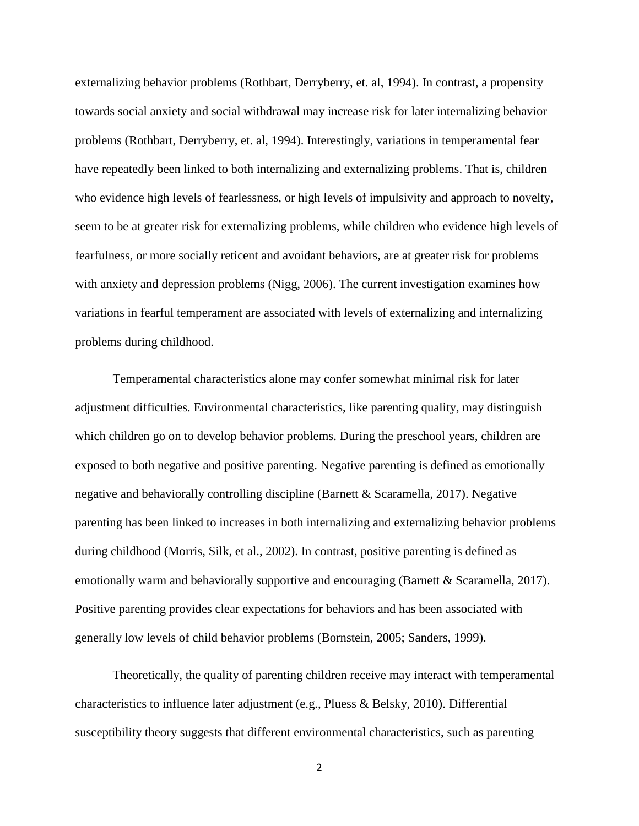externalizing behavior problems (Rothbart, Derryberry, et. al, 1994). In contrast, a propensity towards social anxiety and social withdrawal may increase risk for later internalizing behavior problems (Rothbart, Derryberry, et. al, 1994). Interestingly, variations in temperamental fear have repeatedly been linked to both internalizing and externalizing problems. That is, children who evidence high levels of fearlessness, or high levels of impulsivity and approach to novelty, seem to be at greater risk for externalizing problems, while children who evidence high levels of fearfulness, or more socially reticent and avoidant behaviors, are at greater risk for problems with anxiety and depression problems (Nigg, 2006). The current investigation examines how variations in fearful temperament are associated with levels of externalizing and internalizing problems during childhood.

Temperamental characteristics alone may confer somewhat minimal risk for later adjustment difficulties. Environmental characteristics, like parenting quality, may distinguish which children go on to develop behavior problems. During the preschool years, children are exposed to both negative and positive parenting. Negative parenting is defined as emotionally negative and behaviorally controlling discipline (Barnett & Scaramella, 2017). Negative parenting has been linked to increases in both internalizing and externalizing behavior problems during childhood (Morris, Silk, et al., 2002). In contrast, positive parenting is defined as emotionally warm and behaviorally supportive and encouraging (Barnett & Scaramella, 2017). Positive parenting provides clear expectations for behaviors and has been associated with generally low levels of child behavior problems (Bornstein, 2005; Sanders, 1999).

Theoretically, the quality of parenting children receive may interact with temperamental characteristics to influence later adjustment (e.g., Pluess & Belsky, 2010). Differential susceptibility theory suggests that different environmental characteristics, such as parenting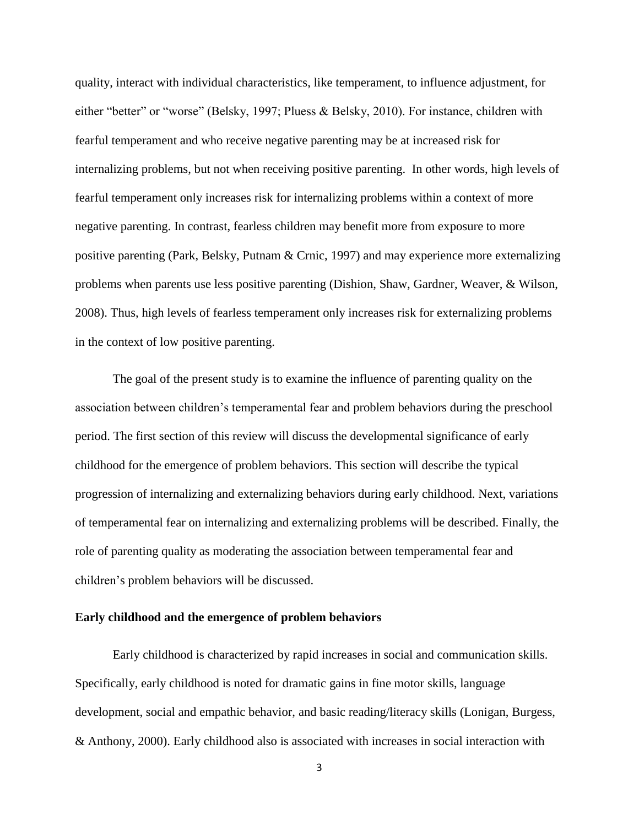quality, interact with individual characteristics, like temperament, to influence adjustment, for either "better" or "worse" (Belsky, 1997; Pluess & Belsky, 2010). For instance, children with fearful temperament and who receive negative parenting may be at increased risk for internalizing problems, but not when receiving positive parenting. In other words, high levels of fearful temperament only increases risk for internalizing problems within a context of more negative parenting. In contrast, fearless children may benefit more from exposure to more positive parenting (Park, Belsky, Putnam & Crnic, 1997) and may experience more externalizing problems when parents use less positive parenting (Dishion, Shaw, Gardner, Weaver, & Wilson, 2008). Thus, high levels of fearless temperament only increases risk for externalizing problems in the context of low positive parenting.

The goal of the present study is to examine the influence of parenting quality on the association between children's temperamental fear and problem behaviors during the preschool period. The first section of this review will discuss the developmental significance of early childhood for the emergence of problem behaviors. This section will describe the typical progression of internalizing and externalizing behaviors during early childhood. Next, variations of temperamental fear on internalizing and externalizing problems will be described. Finally, the role of parenting quality as moderating the association between temperamental fear and children's problem behaviors will be discussed.

#### **Early childhood and the emergence of problem behaviors**

Early childhood is characterized by rapid increases in social and communication skills. Specifically, early childhood is noted for dramatic gains in fine motor skills, language development, social and empathic behavior, and basic reading/literacy skills (Lonigan, Burgess, & Anthony, 2000). Early childhood also is associated with increases in social interaction with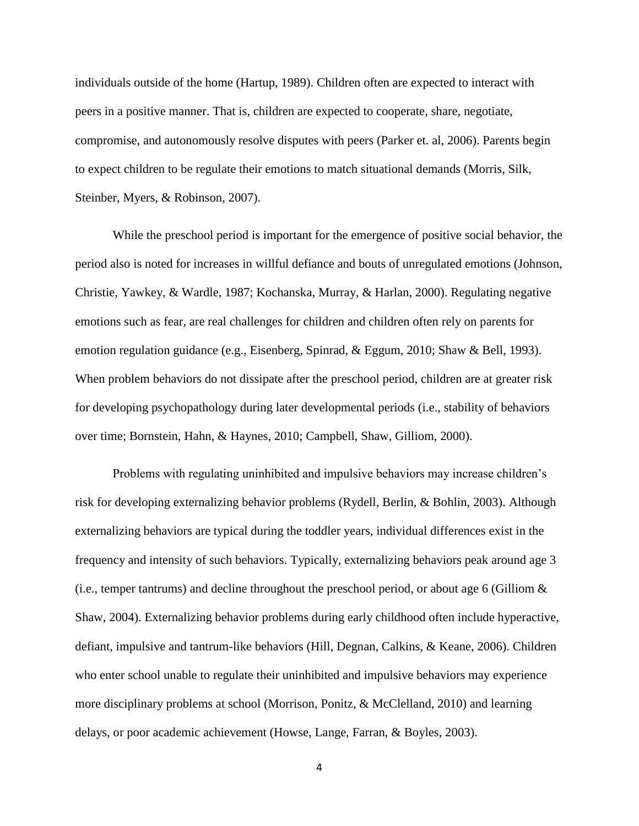individuals outside of the home (Hartup, 1989). Children often are expected to interact with peers in a positive manner. That is, children are expected to cooperate, share, negotiate, compromise, and autonomously resolve disputes with peers (Parker et. al, 2006). Parents begin to expect children to be regulate their emotions to match situational demands (Morris, Silk, Steinber, Myers, & Robinson, 2007).

While the preschool period is important for the emergence of positive social behavior, the period also is noted for increases in willful defiance and bouts of unregulated emotions (Johnson, Christie, Yawkey, & Wardle, 1987; Kochanska, Murray, & Harlan, 2000). Regulating negative emotions such as fear, are real challenges for children and children often rely on parents for emotion regulation guidance (e.g., Eisenberg, Spinrad, & Eggum, 2010; Shaw & Bell, 1993). When problem behaviors do not dissipate after the preschool period, children are at greater risk for developing psychopathology during later developmental periods (i.e., stability of behaviors over time; Bornstein, Hahn, & Haynes, 2010; Campbell, Shaw, Gilliom, 2000).

Problems with regulating uninhibited and impulsive behaviors may increase children's risk for developing externalizing behavior problems (Rydell, Berlin, & Bohlin, 2003). Although externalizing behaviors are typical during the toddler years, individual differences exist in the frequency and intensity of such behaviors. Typically, externalizing behaviors peak around age 3 (i.e., temper tantrums) and decline throughout the preschool period, or about age 6 (Gilliom & Shaw, 2004). Externalizing behavior problems during early childhood often include hyperactive, defiant, impulsive and tantrum-like behaviors (Hill, Degnan, Calkins, & Keane, 2006). Children who enter school unable to regulate their uninhibited and impulsive behaviors may experience more disciplinary problems at school (Morrison, Ponitz, & McClelland, 2010) and learning delays, or poor academic achievement (Howse, Lange, Farran, & Boyles, 2003).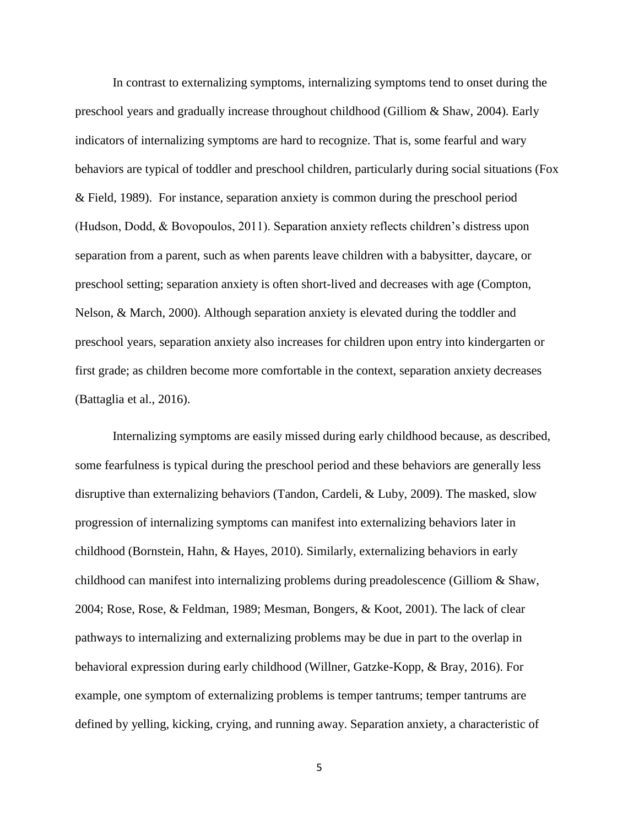In contrast to externalizing symptoms, internalizing symptoms tend to onset during the preschool years and gradually increase throughout childhood (Gilliom & Shaw, 2004). Early indicators of internalizing symptoms are hard to recognize. That is, some fearful and wary behaviors are typical of toddler and preschool children, particularly during social situations (Fox & Field, 1989). For instance, separation anxiety is common during the preschool period (Hudson, Dodd, & Bovopoulos, 2011). Separation anxiety reflects children's distress upon separation from a parent, such as when parents leave children with a babysitter, daycare, or preschool setting; separation anxiety is often short-lived and decreases with age (Compton, Nelson, & March, 2000). Although separation anxiety is elevated during the toddler and preschool years, separation anxiety also increases for children upon entry into kindergarten or first grade; as children become more comfortable in the context, separation anxiety decreases (Battaglia et al., 2016).

Internalizing symptoms are easily missed during early childhood because, as described, some fearfulness is typical during the preschool period and these behaviors are generally less disruptive than externalizing behaviors (Tandon, Cardeli, & Luby, 2009). The masked, slow progression of internalizing symptoms can manifest into externalizing behaviors later in childhood (Bornstein, Hahn, & Hayes, 2010). Similarly, externalizing behaviors in early childhood can manifest into internalizing problems during preadolescence (Gilliom & Shaw, 2004; Rose, Rose, & Feldman, 1989; Mesman, Bongers, & Koot, 2001). The lack of clear pathways to internalizing and externalizing problems may be due in part to the overlap in behavioral expression during early childhood (Willner, Gatzke-Kopp, & Bray, 2016). For example, one symptom of externalizing problems is temper tantrums; temper tantrums are defined by yelling, kicking, crying, and running away. Separation anxiety, a characteristic of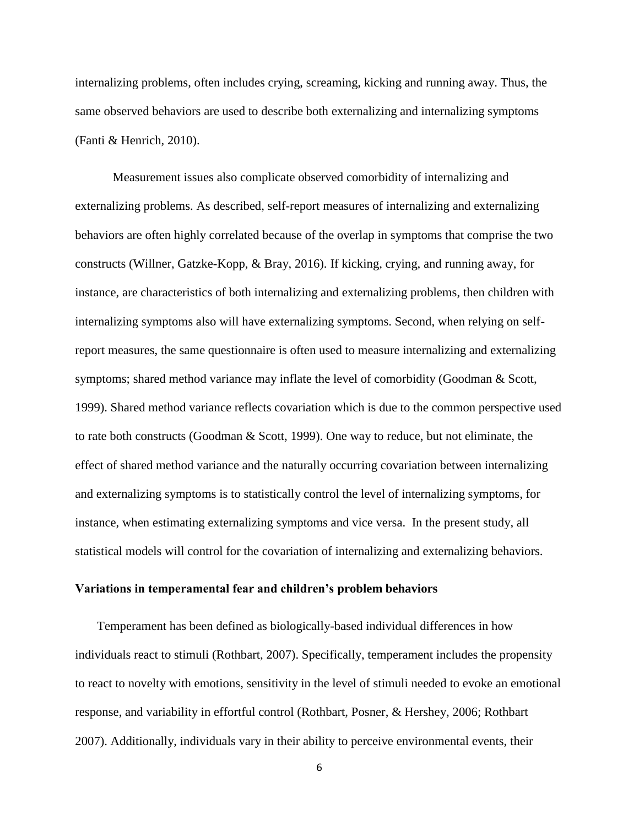internalizing problems, often includes crying, screaming, kicking and running away. Thus, the same observed behaviors are used to describe both externalizing and internalizing symptoms (Fanti & Henrich, 2010).

Measurement issues also complicate observed comorbidity of internalizing and externalizing problems. As described, self-report measures of internalizing and externalizing behaviors are often highly correlated because of the overlap in symptoms that comprise the two constructs (Willner, Gatzke-Kopp, & Bray, 2016). If kicking, crying, and running away, for instance, are characteristics of both internalizing and externalizing problems, then children with internalizing symptoms also will have externalizing symptoms. Second, when relying on selfreport measures, the same questionnaire is often used to measure internalizing and externalizing symptoms; shared method variance may inflate the level of comorbidity (Goodman & Scott, 1999). Shared method variance reflects covariation which is due to the common perspective used to rate both constructs (Goodman & Scott, 1999). One way to reduce, but not eliminate, the effect of shared method variance and the naturally occurring covariation between internalizing and externalizing symptoms is to statistically control the level of internalizing symptoms, for instance, when estimating externalizing symptoms and vice versa. In the present study, all statistical models will control for the covariation of internalizing and externalizing behaviors.

#### **Variations in temperamental fear and children's problem behaviors**

Temperament has been defined as biologically-based individual differences in how individuals react to stimuli (Rothbart, 2007). Specifically, temperament includes the propensity to react to novelty with emotions, sensitivity in the level of stimuli needed to evoke an emotional response, and variability in effortful control (Rothbart, Posner, & Hershey, 2006; Rothbart 2007). Additionally, individuals vary in their ability to perceive environmental events, their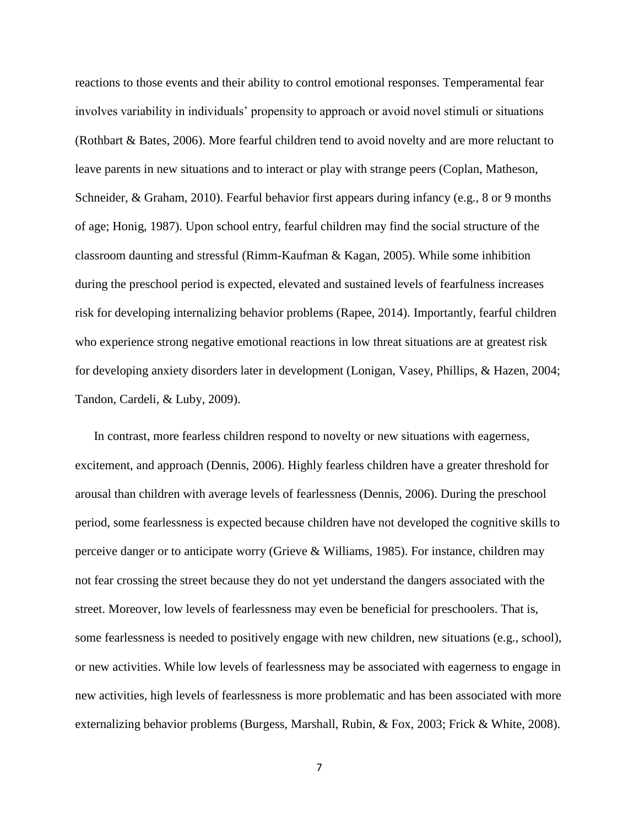reactions to those events and their ability to control emotional responses. Temperamental fear involves variability in individuals' propensity to approach or avoid novel stimuli or situations (Rothbart & Bates, 2006). More fearful children tend to avoid novelty and are more reluctant to leave parents in new situations and to interact or play with strange peers (Coplan, Matheson, Schneider, & Graham, 2010). Fearful behavior first appears during infancy (e.g., 8 or 9 months of age; Honig, 1987). Upon school entry, fearful children may find the social structure of the classroom daunting and stressful (Rimm-Kaufman & Kagan, 2005). While some inhibition during the preschool period is expected, elevated and sustained levels of fearfulness increases risk for developing internalizing behavior problems (Rapee, 2014). Importantly, fearful children who experience strong negative emotional reactions in low threat situations are at greatest risk for developing anxiety disorders later in development (Lonigan, Vasey, Phillips, & Hazen, 2004; Tandon, Cardeli, & Luby, 2009).

In contrast, more fearless children respond to novelty or new situations with eagerness, excitement, and approach (Dennis, 2006). Highly fearless children have a greater threshold for arousal than children with average levels of fearlessness (Dennis, 2006). During the preschool period, some fearlessness is expected because children have not developed the cognitive skills to perceive danger or to anticipate worry (Grieve & Williams, 1985). For instance, children may not fear crossing the street because they do not yet understand the dangers associated with the street. Moreover, low levels of fearlessness may even be beneficial for preschoolers. That is, some fearlessness is needed to positively engage with new children, new situations (e.g., school), or new activities. While low levels of fearlessness may be associated with eagerness to engage in new activities, high levels of fearlessness is more problematic and has been associated with more externalizing behavior problems (Burgess, Marshall, Rubin, & Fox, 2003; Frick & White, 2008).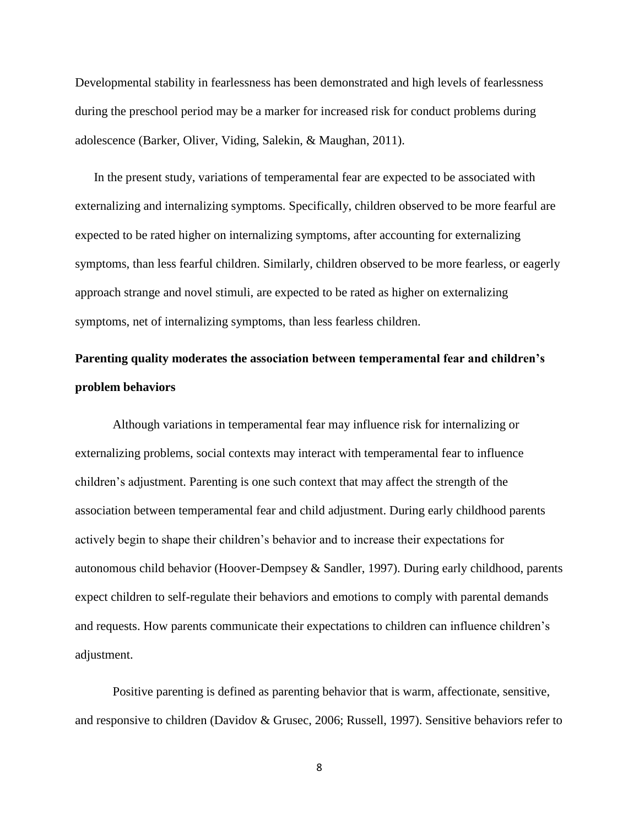Developmental stability in fearlessness has been demonstrated and high levels of fearlessness during the preschool period may be a marker for increased risk for conduct problems during adolescence (Barker, Oliver, Viding, Salekin, & Maughan, 2011).

In the present study, variations of temperamental fear are expected to be associated with externalizing and internalizing symptoms. Specifically, children observed to be more fearful are expected to be rated higher on internalizing symptoms, after accounting for externalizing symptoms, than less fearful children. Similarly, children observed to be more fearless, or eagerly approach strange and novel stimuli, are expected to be rated as higher on externalizing symptoms, net of internalizing symptoms, than less fearless children.

## **Parenting quality moderates the association between temperamental fear and children's problem behaviors**

Although variations in temperamental fear may influence risk for internalizing or externalizing problems, social contexts may interact with temperamental fear to influence children's adjustment. Parenting is one such context that may affect the strength of the association between temperamental fear and child adjustment. During early childhood parents actively begin to shape their children's behavior and to increase their expectations for autonomous child behavior (Hoover-Dempsey & Sandler, 1997). During early childhood, parents expect children to self-regulate their behaviors and emotions to comply with parental demands and requests. How parents communicate their expectations to children can influence children's adjustment.

Positive parenting is defined as parenting behavior that is warm, affectionate, sensitive, and responsive to children (Davidov & Grusec, 2006; Russell, 1997). Sensitive behaviors refer to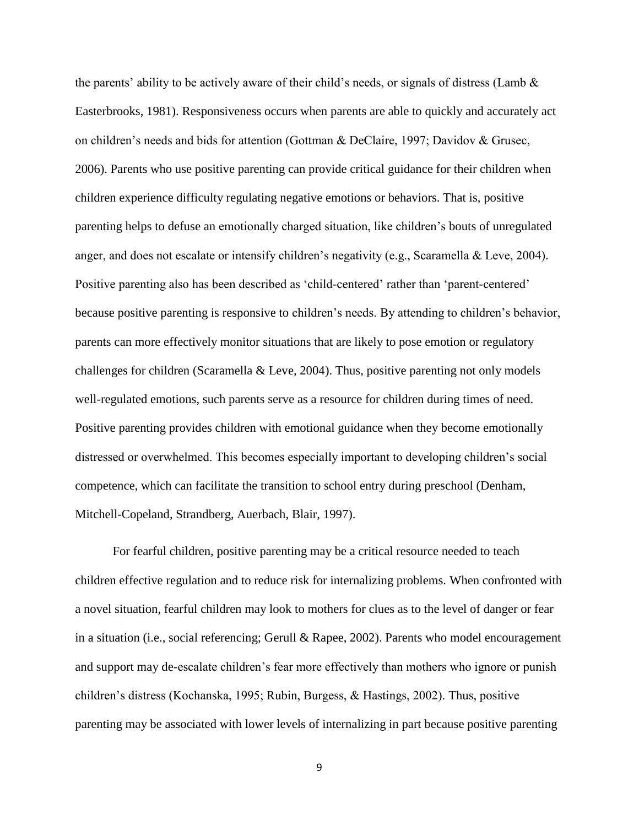the parents' ability to be actively aware of their child's needs, or signals of distress (Lamb & Easterbrooks, 1981). Responsiveness occurs when parents are able to quickly and accurately act on children's needs and bids for attention (Gottman & DeClaire, 1997; Davidov & Grusec, 2006). Parents who use positive parenting can provide critical guidance for their children when children experience difficulty regulating negative emotions or behaviors. That is, positive parenting helps to defuse an emotionally charged situation, like children's bouts of unregulated anger, and does not escalate or intensify children's negativity (e.g., Scaramella & Leve, 2004). Positive parenting also has been described as 'child-centered' rather than 'parent-centered' because positive parenting is responsive to children's needs. By attending to children's behavior, parents can more effectively monitor situations that are likely to pose emotion or regulatory challenges for children (Scaramella & Leve, 2004). Thus, positive parenting not only models well-regulated emotions, such parents serve as a resource for children during times of need. Positive parenting provides children with emotional guidance when they become emotionally distressed or overwhelmed. This becomes especially important to developing children's social competence, which can facilitate the transition to school entry during preschool (Denham, Mitchell-Copeland, Strandberg, Auerbach, Blair, 1997).

For fearful children, positive parenting may be a critical resource needed to teach children effective regulation and to reduce risk for internalizing problems. When confronted with a novel situation, fearful children may look to mothers for clues as to the level of danger or fear in a situation (i.e., social referencing; Gerull & Rapee, 2002). Parents who model encouragement and support may de-escalate children's fear more effectively than mothers who ignore or punish children's distress (Kochanska, 1995; Rubin, Burgess, & Hastings, 2002). Thus, positive parenting may be associated with lower levels of internalizing in part because positive parenting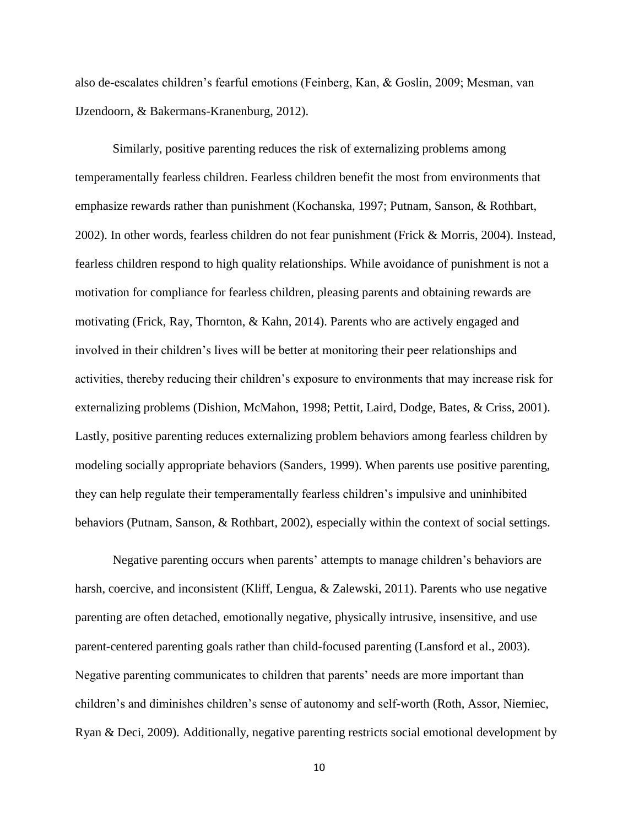also de-escalates children's fearful emotions (Feinberg, Kan, & Goslin, 2009; Mesman, van IJzendoorn, & Bakermans-Kranenburg, 2012).

Similarly, positive parenting reduces the risk of externalizing problems among temperamentally fearless children. Fearless children benefit the most from environments that emphasize rewards rather than punishment (Kochanska, 1997; Putnam, Sanson, & Rothbart, 2002). In other words, fearless children do not fear punishment (Frick & Morris, 2004). Instead, fearless children respond to high quality relationships. While avoidance of punishment is not a motivation for compliance for fearless children, pleasing parents and obtaining rewards are motivating (Frick, Ray, Thornton, & Kahn, 2014). Parents who are actively engaged and involved in their children's lives will be better at monitoring their peer relationships and activities, thereby reducing their children's exposure to environments that may increase risk for externalizing problems (Dishion, McMahon, 1998; Pettit, Laird, Dodge, Bates, & Criss, 2001). Lastly, positive parenting reduces externalizing problem behaviors among fearless children by modeling socially appropriate behaviors (Sanders, 1999). When parents use positive parenting, they can help regulate their temperamentally fearless children's impulsive and uninhibited behaviors (Putnam, Sanson, & Rothbart, 2002), especially within the context of social settings.

Negative parenting occurs when parents' attempts to manage children's behaviors are harsh, coercive, and inconsistent (Kliff, Lengua, & Zalewski, 2011). Parents who use negative parenting are often detached, emotionally negative, physically intrusive, insensitive, and use parent-centered parenting goals rather than child-focused parenting (Lansford et al., 2003). Negative parenting communicates to children that parents' needs are more important than children's and diminishes children's sense of autonomy and self-worth (Roth, Assor, Niemiec, Ryan & Deci, 2009). Additionally, negative parenting restricts social emotional development by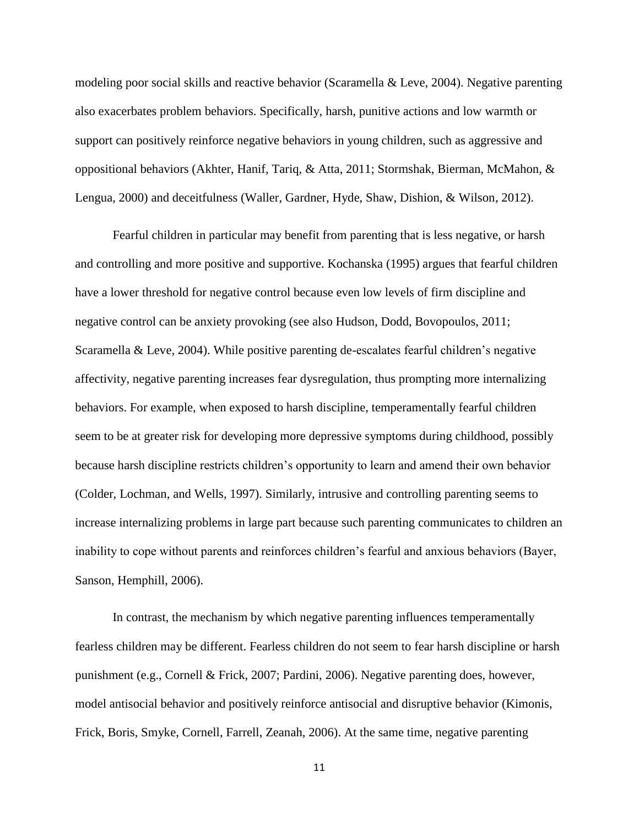modeling poor social skills and reactive behavior (Scaramella & Leve, 2004). Negative parenting also exacerbates problem behaviors. Specifically, harsh, punitive actions and low warmth or support can positively reinforce negative behaviors in young children, such as aggressive and oppositional behaviors (Akhter, Hanif, Tariq, & Atta, 2011; Stormshak, Bierman, McMahon, & Lengua, 2000) and deceitfulness (Waller, Gardner, Hyde, Shaw, Dishion, & Wilson, 2012).

Fearful children in particular may benefit from parenting that is less negative, or harsh and controlling and more positive and supportive. Kochanska (1995) argues that fearful children have a lower threshold for negative control because even low levels of firm discipline and negative control can be anxiety provoking (see also Hudson, Dodd, Bovopoulos, 2011; Scaramella & Leve, 2004). While positive parenting de-escalates fearful children's negative affectivity, negative parenting increases fear dysregulation, thus prompting more internalizing behaviors. For example, when exposed to harsh discipline, temperamentally fearful children seem to be at greater risk for developing more depressive symptoms during childhood, possibly because harsh discipline restricts children's opportunity to learn and amend their own behavior (Colder, Lochman, and Wells, 1997). Similarly, intrusive and controlling parenting seems to increase internalizing problems in large part because such parenting communicates to children an inability to cope without parents and reinforces children's fearful and anxious behaviors (Bayer, Sanson, Hemphill, 2006).

In contrast, the mechanism by which negative parenting influences temperamentally fearless children may be different. Fearless children do not seem to fear harsh discipline or harsh punishment (e.g., Cornell & Frick, 2007; Pardini, 2006). Negative parenting does, however, model antisocial behavior and positively reinforce antisocial and disruptive behavior (Kimonis, Frick, Boris, Smyke, Cornell, Farrell, Zeanah, 2006). At the same time, negative parenting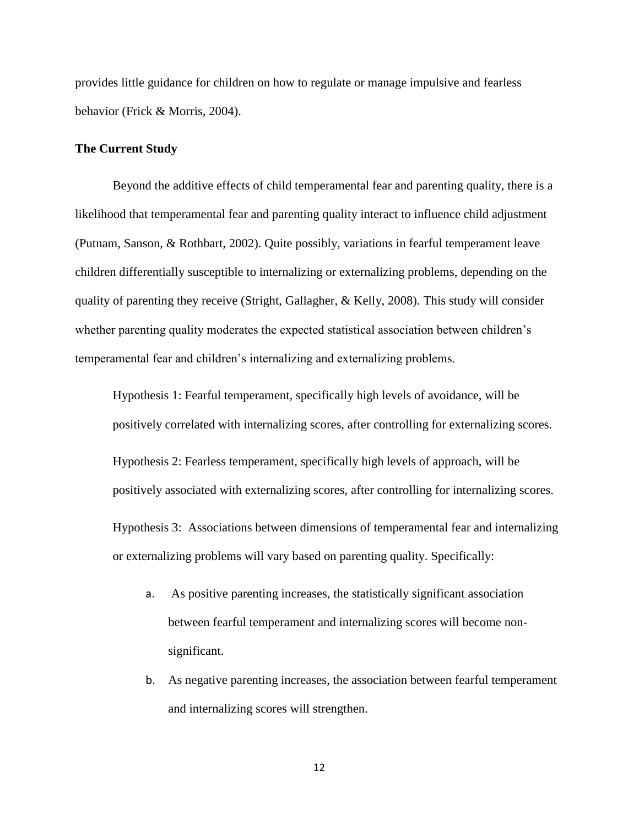provides little guidance for children on how to regulate or manage impulsive and fearless behavior (Frick & Morris, 2004).

#### **The Current Study**

Beyond the additive effects of child temperamental fear and parenting quality, there is a likelihood that temperamental fear and parenting quality interact to influence child adjustment (Putnam, Sanson, & Rothbart, 2002). Quite possibly, variations in fearful temperament leave children differentially susceptible to internalizing or externalizing problems, depending on the quality of parenting they receive (Stright, Gallagher, & Kelly, 2008). This study will consider whether parenting quality moderates the expected statistical association between children's temperamental fear and children's internalizing and externalizing problems.

Hypothesis 1: Fearful temperament, specifically high levels of avoidance, will be positively correlated with internalizing scores, after controlling for externalizing scores.

Hypothesis 2: Fearless temperament, specifically high levels of approach, will be positively associated with externalizing scores, after controlling for internalizing scores.

Hypothesis 3: Associations between dimensions of temperamental fear and internalizing or externalizing problems will vary based on parenting quality. Specifically:

- a. As positive parenting increases, the statistically significant association between fearful temperament and internalizing scores will become nonsignificant.
- b. As negative parenting increases, the association between fearful temperament and internalizing scores will strengthen.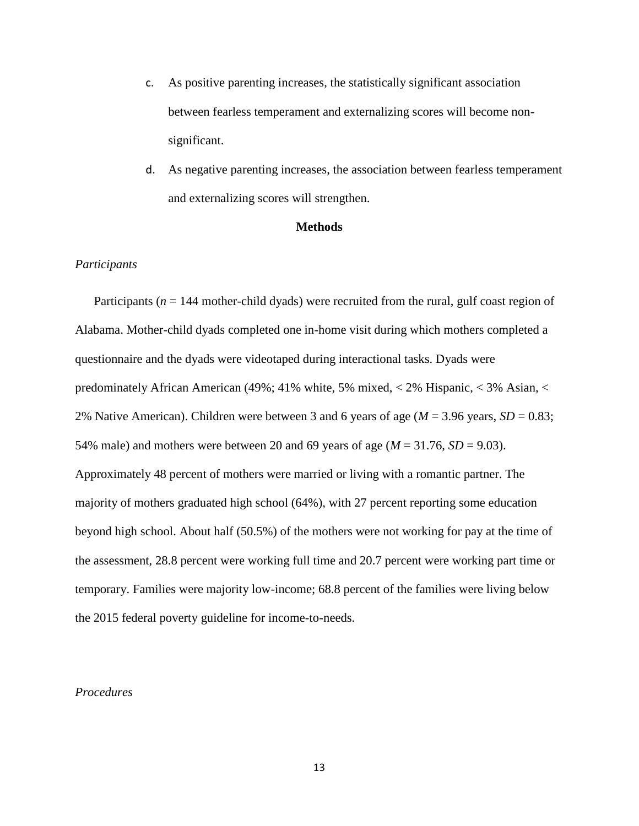- c. As positive parenting increases, the statistically significant association between fearless temperament and externalizing scores will become nonsignificant.
- d. As negative parenting increases, the association between fearless temperament and externalizing scores will strengthen.

#### **Methods**

#### *Participants*

Participants ( $n = 144$  mother-child dyads) were recruited from the rural, gulf coast region of Alabama. Mother-child dyads completed one in-home visit during which mothers completed a questionnaire and the dyads were videotaped during interactional tasks. Dyads were predominately African American (49%; 41% white, 5% mixed, < 2% Hispanic, < 3% Asian, < 2% Native American). Children were between 3 and 6 years of age ( $M = 3.96$  years,  $SD = 0.83$ ; 54% male) and mothers were between 20 and 69 years of age  $(M = 31.76, SD = 9.03)$ . Approximately 48 percent of mothers were married or living with a romantic partner. The majority of mothers graduated high school (64%), with 27 percent reporting some education beyond high school. About half (50.5%) of the mothers were not working for pay at the time of the assessment, 28.8 percent were working full time and 20.7 percent were working part time or temporary. Families were majority low-income; 68.8 percent of the families were living below the 2015 federal poverty guideline for income-to-needs.

#### *Procedures*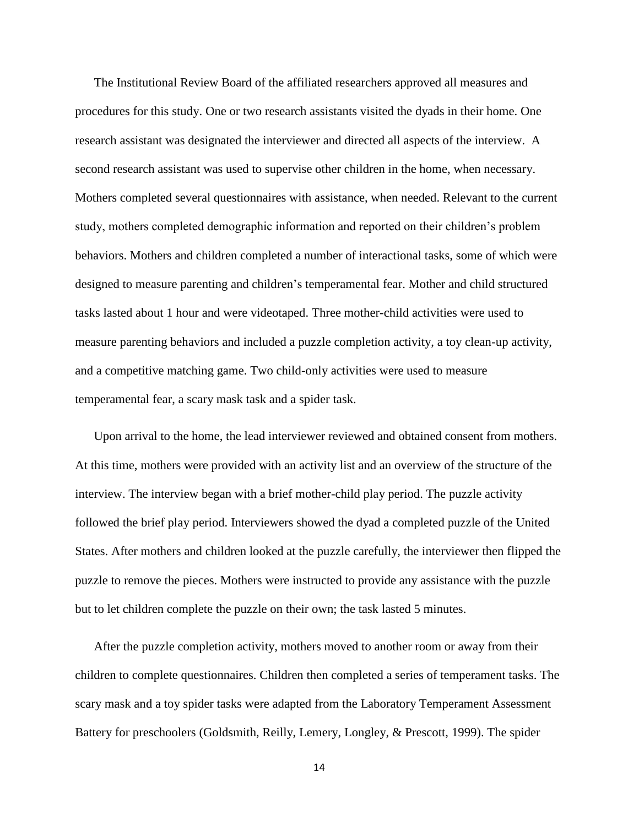The Institutional Review Board of the affiliated researchers approved all measures and procedures for this study. One or two research assistants visited the dyads in their home. One research assistant was designated the interviewer and directed all aspects of the interview. A second research assistant was used to supervise other children in the home, when necessary. Mothers completed several questionnaires with assistance, when needed. Relevant to the current study, mothers completed demographic information and reported on their children's problem behaviors. Mothers and children completed a number of interactional tasks, some of which were designed to measure parenting and children's temperamental fear. Mother and child structured tasks lasted about 1 hour and were videotaped. Three mother-child activities were used to measure parenting behaviors and included a puzzle completion activity, a toy clean-up activity, and a competitive matching game. Two child-only activities were used to measure temperamental fear, a scary mask task and a spider task.

Upon arrival to the home, the lead interviewer reviewed and obtained consent from mothers. At this time, mothers were provided with an activity list and an overview of the structure of the interview. The interview began with a brief mother-child play period. The puzzle activity followed the brief play period. Interviewers showed the dyad a completed puzzle of the United States. After mothers and children looked at the puzzle carefully, the interviewer then flipped the puzzle to remove the pieces. Mothers were instructed to provide any assistance with the puzzle but to let children complete the puzzle on their own; the task lasted 5 minutes.

After the puzzle completion activity, mothers moved to another room or away from their children to complete questionnaires. Children then completed a series of temperament tasks. The scary mask and a toy spider tasks were adapted from the Laboratory Temperament Assessment Battery for preschoolers (Goldsmith, Reilly, Lemery, Longley, & Prescott, 1999). The spider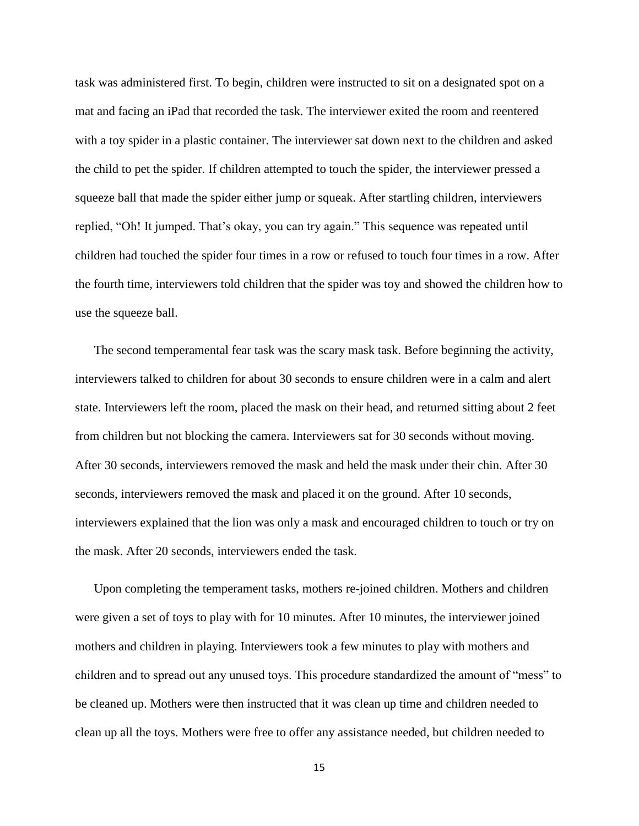task was administered first. To begin, children were instructed to sit on a designated spot on a mat and facing an iPad that recorded the task. The interviewer exited the room and reentered with a toy spider in a plastic container. The interviewer sat down next to the children and asked the child to pet the spider. If children attempted to touch the spider, the interviewer pressed a squeeze ball that made the spider either jump or squeak. After startling children, interviewers replied, "Oh! It jumped. That's okay, you can try again." This sequence was repeated until children had touched the spider four times in a row or refused to touch four times in a row. After the fourth time, interviewers told children that the spider was toy and showed the children how to use the squeeze ball.

The second temperamental fear task was the scary mask task. Before beginning the activity, interviewers talked to children for about 30 seconds to ensure children were in a calm and alert state. Interviewers left the room, placed the mask on their head, and returned sitting about 2 feet from children but not blocking the camera. Interviewers sat for 30 seconds without moving. After 30 seconds, interviewers removed the mask and held the mask under their chin. After 30 seconds, interviewers removed the mask and placed it on the ground. After 10 seconds, interviewers explained that the lion was only a mask and encouraged children to touch or try on the mask. After 20 seconds, interviewers ended the task.

Upon completing the temperament tasks, mothers re-joined children. Mothers and children were given a set of toys to play with for 10 minutes. After 10 minutes, the interviewer joined mothers and children in playing. Interviewers took a few minutes to play with mothers and children and to spread out any unused toys. This procedure standardized the amount of "mess" to be cleaned up. Mothers were then instructed that it was clean up time and children needed to clean up all the toys. Mothers were free to offer any assistance needed, but children needed to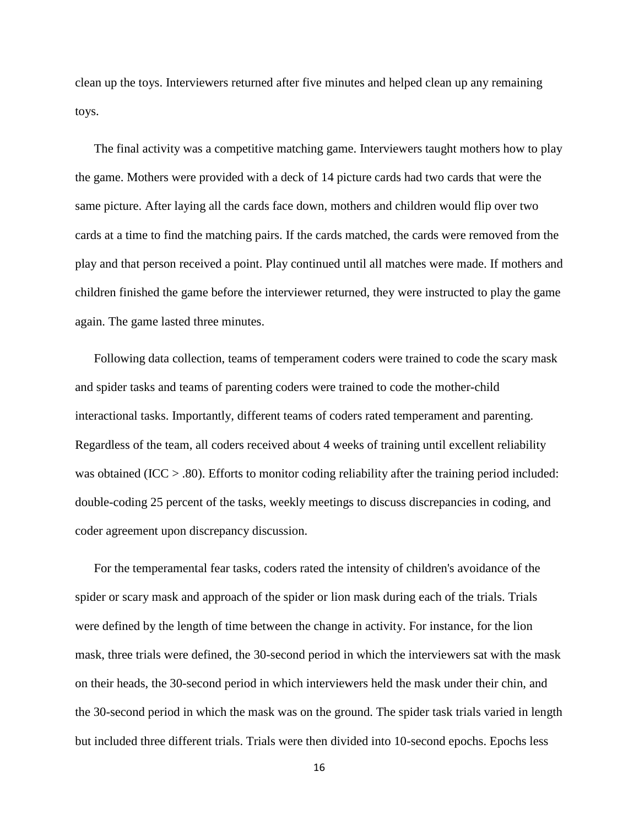clean up the toys. Interviewers returned after five minutes and helped clean up any remaining toys.

The final activity was a competitive matching game. Interviewers taught mothers how to play the game. Mothers were provided with a deck of 14 picture cards had two cards that were the same picture. After laying all the cards face down, mothers and children would flip over two cards at a time to find the matching pairs. If the cards matched, the cards were removed from the play and that person received a point. Play continued until all matches were made. If mothers and children finished the game before the interviewer returned, they were instructed to play the game again. The game lasted three minutes.

Following data collection, teams of temperament coders were trained to code the scary mask and spider tasks and teams of parenting coders were trained to code the mother-child interactional tasks. Importantly, different teams of coders rated temperament and parenting. Regardless of the team, all coders received about 4 weeks of training until excellent reliability was obtained (ICC  $> 0.80$ ). Efforts to monitor coding reliability after the training period included: double-coding 25 percent of the tasks, weekly meetings to discuss discrepancies in coding, and coder agreement upon discrepancy discussion.

For the temperamental fear tasks, coders rated the intensity of children's avoidance of the spider or scary mask and approach of the spider or lion mask during each of the trials. Trials were defined by the length of time between the change in activity. For instance, for the lion mask, three trials were defined, the 30-second period in which the interviewers sat with the mask on their heads, the 30-second period in which interviewers held the mask under their chin, and the 30-second period in which the mask was on the ground. The spider task trials varied in length but included three different trials. Trials were then divided into 10-second epochs. Epochs less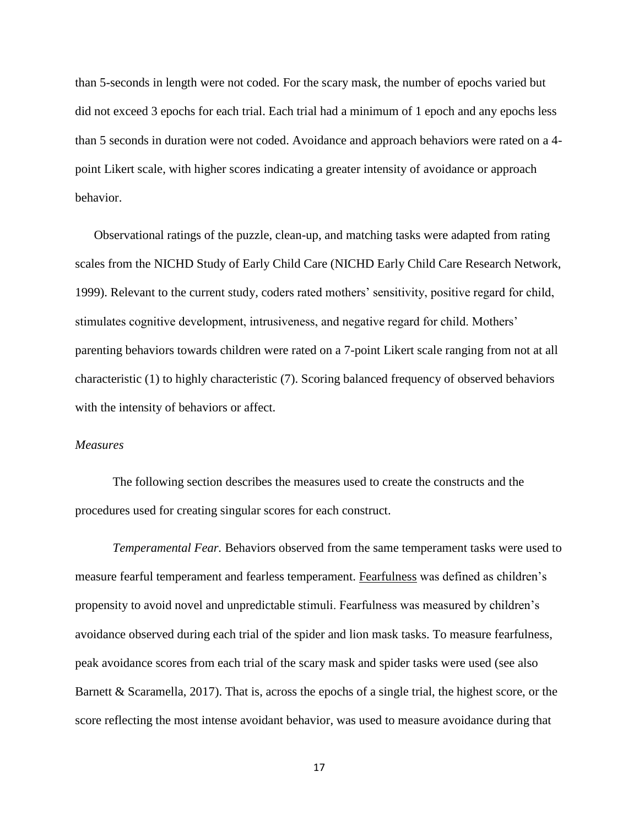than 5-seconds in length were not coded. For the scary mask, the number of epochs varied but did not exceed 3 epochs for each trial. Each trial had a minimum of 1 epoch and any epochs less than 5 seconds in duration were not coded. Avoidance and approach behaviors were rated on a 4 point Likert scale, with higher scores indicating a greater intensity of avoidance or approach behavior.

Observational ratings of the puzzle, clean-up, and matching tasks were adapted from rating scales from the NICHD Study of Early Child Care (NICHD Early Child Care Research Network, 1999). Relevant to the current study, coders rated mothers' sensitivity, positive regard for child, stimulates cognitive development, intrusiveness, and negative regard for child. Mothers' parenting behaviors towards children were rated on a 7-point Likert scale ranging from not at all characteristic (1) to highly characteristic (7). Scoring balanced frequency of observed behaviors with the intensity of behaviors or affect.

#### *Measures*

The following section describes the measures used to create the constructs and the procedures used for creating singular scores for each construct.

*Temperamental Fear.* Behaviors observed from the same temperament tasks were used to measure fearful temperament and fearless temperament. Fearfulness was defined as children's propensity to avoid novel and unpredictable stimuli. Fearfulness was measured by children's avoidance observed during each trial of the spider and lion mask tasks. To measure fearfulness, peak avoidance scores from each trial of the scary mask and spider tasks were used (see also Barnett & Scaramella, 2017). That is, across the epochs of a single trial, the highest score, or the score reflecting the most intense avoidant behavior, was used to measure avoidance during that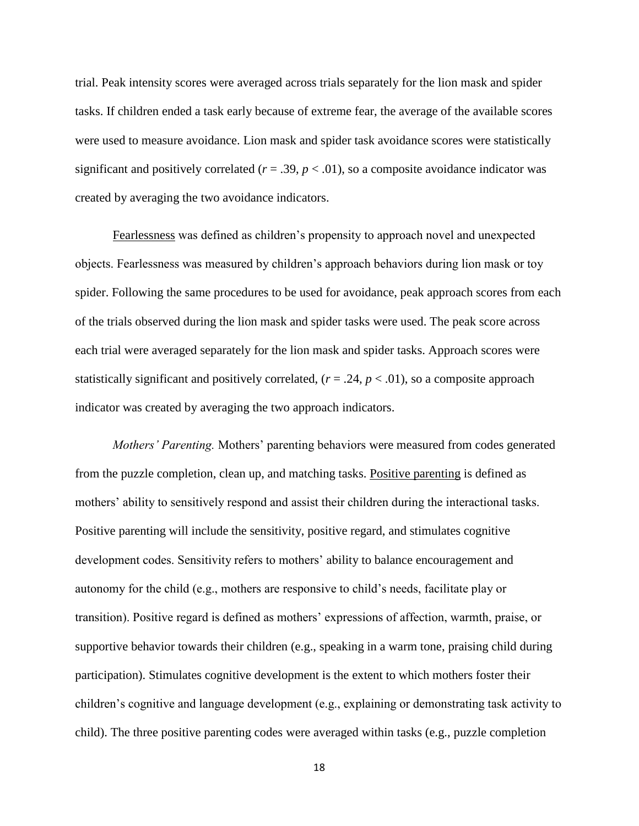trial. Peak intensity scores were averaged across trials separately for the lion mask and spider tasks. If children ended a task early because of extreme fear, the average of the available scores were used to measure avoidance. Lion mask and spider task avoidance scores were statistically significant and positively correlated  $(r = .39, p < .01)$ , so a composite avoidance indicator was created by averaging the two avoidance indicators.

Fearlessness was defined as children's propensity to approach novel and unexpected objects. Fearlessness was measured by children's approach behaviors during lion mask or toy spider. Following the same procedures to be used for avoidance, peak approach scores from each of the trials observed during the lion mask and spider tasks were used. The peak score across each trial were averaged separately for the lion mask and spider tasks. Approach scores were statistically significant and positively correlated,  $(r = .24, p < .01)$ , so a composite approach indicator was created by averaging the two approach indicators.

*Mothers' Parenting.* Mothers' parenting behaviors were measured from codes generated from the puzzle completion, clean up, and matching tasks. Positive parenting is defined as mothers' ability to sensitively respond and assist their children during the interactional tasks. Positive parenting will include the sensitivity, positive regard, and stimulates cognitive development codes. Sensitivity refers to mothers' ability to balance encouragement and autonomy for the child (e.g., mothers are responsive to child's needs, facilitate play or transition). Positive regard is defined as mothers' expressions of affection, warmth, praise, or supportive behavior towards their children (e.g., speaking in a warm tone, praising child during participation). Stimulates cognitive development is the extent to which mothers foster their children's cognitive and language development (e.g., explaining or demonstrating task activity to child). The three positive parenting codes were averaged within tasks (e.g., puzzle completion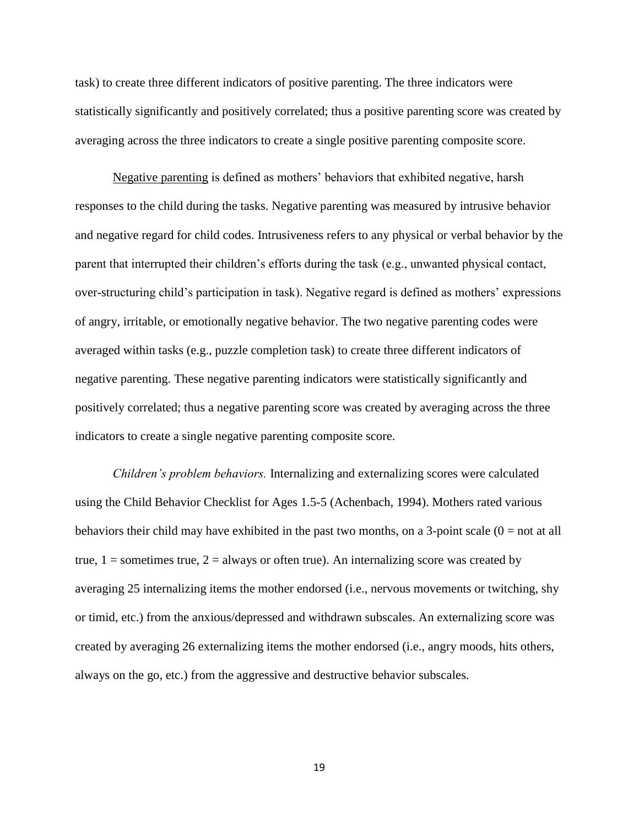task) to create three different indicators of positive parenting. The three indicators were statistically significantly and positively correlated; thus a positive parenting score was created by averaging across the three indicators to create a single positive parenting composite score.

Negative parenting is defined as mothers' behaviors that exhibited negative, harsh responses to the child during the tasks. Negative parenting was measured by intrusive behavior and negative regard for child codes. Intrusiveness refers to any physical or verbal behavior by the parent that interrupted their children's efforts during the task (e.g., unwanted physical contact, over-structuring child's participation in task). Negative regard is defined as mothers' expressions of angry, irritable, or emotionally negative behavior. The two negative parenting codes were averaged within tasks (e.g., puzzle completion task) to create three different indicators of negative parenting. These negative parenting indicators were statistically significantly and positively correlated; thus a negative parenting score was created by averaging across the three indicators to create a single negative parenting composite score.

*Children's problem behaviors.* Internalizing and externalizing scores were calculated using the Child Behavior Checklist for Ages 1.5-5 (Achenbach, 1994). Mothers rated various behaviors their child may have exhibited in the past two months, on a 3-point scale  $(0 = not at all)$ true,  $1 =$  sometimes true,  $2 =$  always or often true). An internalizing score was created by averaging 25 internalizing items the mother endorsed (i.e., nervous movements or twitching, shy or timid, etc.) from the anxious/depressed and withdrawn subscales. An externalizing score was created by averaging 26 externalizing items the mother endorsed (i.e., angry moods, hits others, always on the go, etc.) from the aggressive and destructive behavior subscales.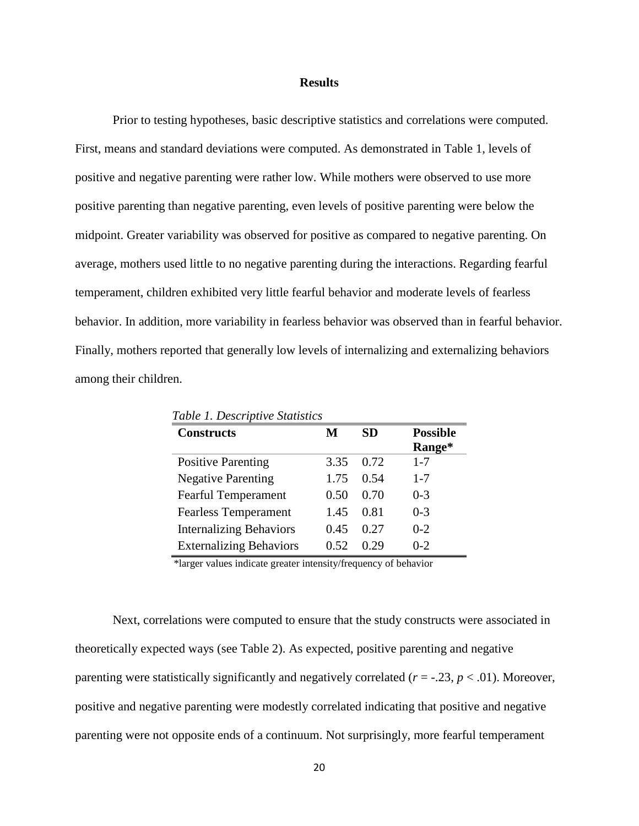#### **Results**

Prior to testing hypotheses, basic descriptive statistics and correlations were computed. First, means and standard deviations were computed. As demonstrated in Table 1, levels of positive and negative parenting were rather low. While mothers were observed to use more positive parenting than negative parenting, even levels of positive parenting were below the midpoint. Greater variability was observed for positive as compared to negative parenting. On average, mothers used little to no negative parenting during the interactions. Regarding fearful temperament, children exhibited very little fearful behavior and moderate levels of fearless behavior. In addition, more variability in fearless behavior was observed than in fearful behavior. Finally, mothers reported that generally low levels of internalizing and externalizing behaviors among their children.

| <b>Constructs</b>              | M    | <b>SD</b> | <b>Possible</b> |
|--------------------------------|------|-----------|-----------------|
|                                |      |           | Range*          |
| <b>Positive Parenting</b>      | 3.35 | 0.72      | $1 - 7$         |
| <b>Negative Parenting</b>      | 1.75 | 0.54      | $1 - 7$         |
| <b>Fearful Temperament</b>     | 0.50 | 0.70      | $0 - 3$         |
| <b>Fearless Temperament</b>    | 1.45 | 0.81      | $0 - 3$         |
| <b>Internalizing Behaviors</b> | 0.45 | 0.27      | $0 - 2$         |
| <b>Externalizing Behaviors</b> | 0.52 | 0.29      | $0 - 2$         |

 *Table 1. Descriptive Statistics*

\*larger values indicate greater intensity/frequency of behavior

Next, correlations were computed to ensure that the study constructs were associated in theoretically expected ways (see Table 2). As expected, positive parenting and negative parenting were statistically significantly and negatively correlated  $(r = -0.23, p < 0.01)$ . Moreover, positive and negative parenting were modestly correlated indicating that positive and negative parenting were not opposite ends of a continuum. Not surprisingly, more fearful temperament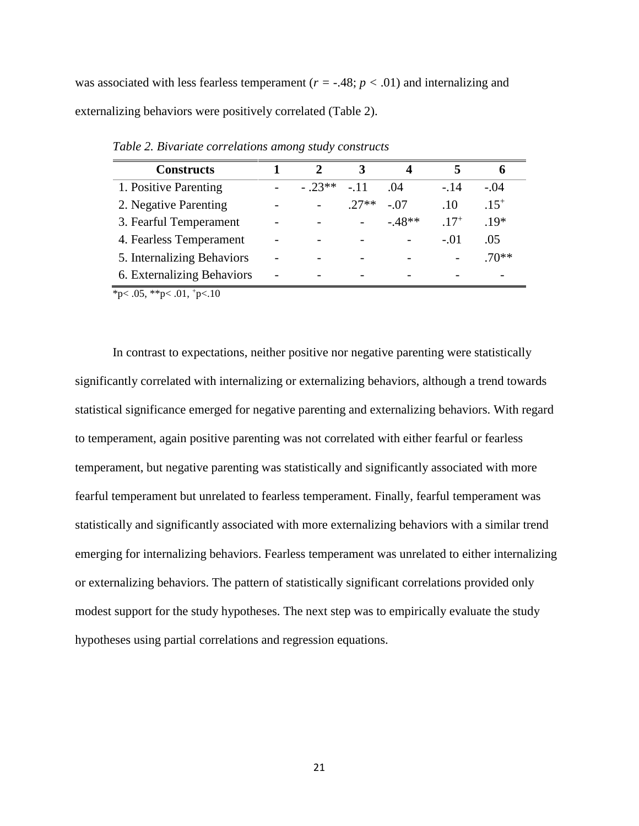was associated with less fearless temperament  $(r = -0.48; p < 0.01)$  and internalizing and externalizing behaviors were positively correlated (Table 2).

| <b>Constructs</b>          | 7       | 3       |         |           |          |
|----------------------------|---------|---------|---------|-----------|----------|
| 1. Positive Parenting      | $-23**$ | $-11$   | .04     | $-14$     | $-.04$   |
| 2. Negative Parenting      |         | $.27**$ | $-.07$  | .10       | $15^{+}$ |
| 3. Fearful Temperament     |         |         | $-48**$ | $.17^{+}$ | $.19*$   |
| 4. Fearless Temperament    |         |         |         | $-.01$    | .05      |
| 5. Internalizing Behaviors |         |         |         |           | $70**$   |
| 6. Externalizing Behaviors |         |         |         |           |          |

*Table 2. Bivariate correlations among study constructs*

 $*p< .05, **p< .01, *p< .10$ 

In contrast to expectations, neither positive nor negative parenting were statistically significantly correlated with internalizing or externalizing behaviors, although a trend towards statistical significance emerged for negative parenting and externalizing behaviors. With regard to temperament, again positive parenting was not correlated with either fearful or fearless temperament, but negative parenting was statistically and significantly associated with more fearful temperament but unrelated to fearless temperament. Finally, fearful temperament was statistically and significantly associated with more externalizing behaviors with a similar trend emerging for internalizing behaviors. Fearless temperament was unrelated to either internalizing or externalizing behaviors. The pattern of statistically significant correlations provided only modest support for the study hypotheses. The next step was to empirically evaluate the study hypotheses using partial correlations and regression equations.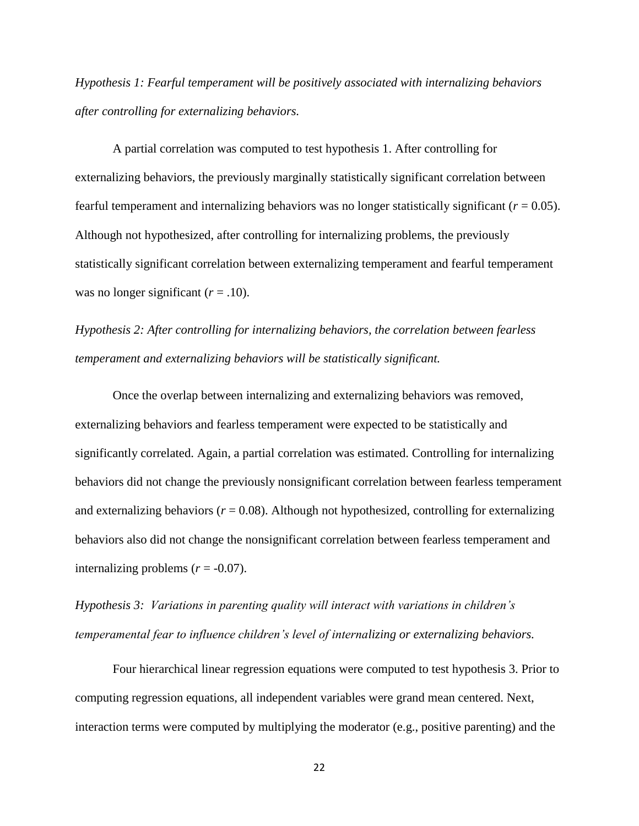*Hypothesis 1: Fearful temperament will be positively associated with internalizing behaviors after controlling for externalizing behaviors.*

A partial correlation was computed to test hypothesis 1. After controlling for externalizing behaviors, the previously marginally statistically significant correlation between fearful temperament and internalizing behaviors was no longer statistically significant  $(r = 0.05)$ . Although not hypothesized, after controlling for internalizing problems, the previously statistically significant correlation between externalizing temperament and fearful temperament was no longer significant  $(r = .10)$ .

*Hypothesis 2: After controlling for internalizing behaviors, the correlation between fearless temperament and externalizing behaviors will be statistically significant.* 

Once the overlap between internalizing and externalizing behaviors was removed, externalizing behaviors and fearless temperament were expected to be statistically and significantly correlated. Again, a partial correlation was estimated. Controlling for internalizing behaviors did not change the previously nonsignificant correlation between fearless temperament and externalizing behaviors ( $r = 0.08$ ). Although not hypothesized, controlling for externalizing behaviors also did not change the nonsignificant correlation between fearless temperament and internalizing problems  $(r = -0.07)$ .

*Hypothesis 3: Variations in parenting quality will interact with variations in children's temperamental fear to influence children's level of internalizing or externalizing behaviors.* 

Four hierarchical linear regression equations were computed to test hypothesis 3. Prior to computing regression equations, all independent variables were grand mean centered. Next, interaction terms were computed by multiplying the moderator (e.g., positive parenting) and the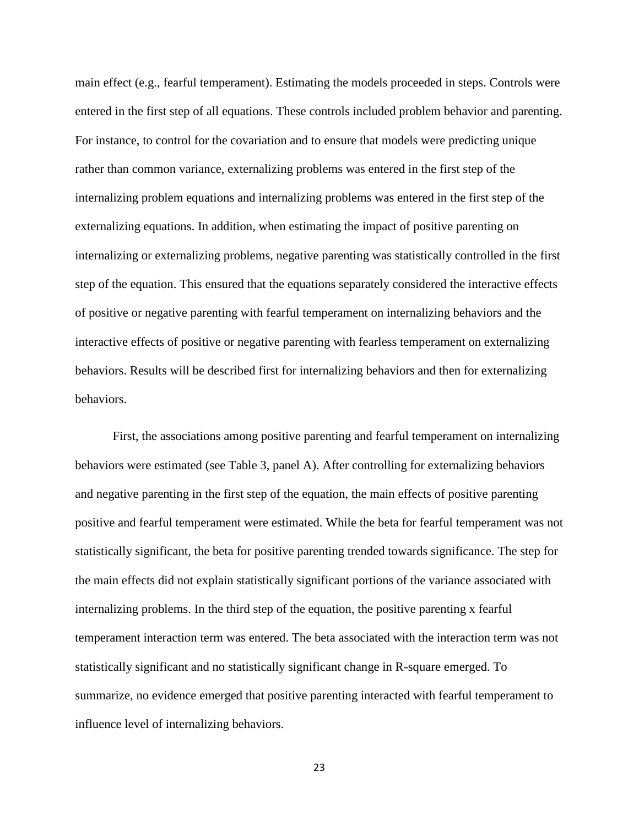main effect (e.g., fearful temperament). Estimating the models proceeded in steps. Controls were entered in the first step of all equations. These controls included problem behavior and parenting. For instance, to control for the covariation and to ensure that models were predicting unique rather than common variance, externalizing problems was entered in the first step of the internalizing problem equations and internalizing problems was entered in the first step of the externalizing equations. In addition, when estimating the impact of positive parenting on internalizing or externalizing problems, negative parenting was statistically controlled in the first step of the equation. This ensured that the equations separately considered the interactive effects of positive or negative parenting with fearful temperament on internalizing behaviors and the interactive effects of positive or negative parenting with fearless temperament on externalizing behaviors. Results will be described first for internalizing behaviors and then for externalizing behaviors.

First, the associations among positive parenting and fearful temperament on internalizing behaviors were estimated (see Table 3, panel A). After controlling for externalizing behaviors and negative parenting in the first step of the equation, the main effects of positive parenting positive and fearful temperament were estimated. While the beta for fearful temperament was not statistically significant, the beta for positive parenting trended towards significance. The step for the main effects did not explain statistically significant portions of the variance associated with internalizing problems. In the third step of the equation, the positive parenting x fearful temperament interaction term was entered. The beta associated with the interaction term was not statistically significant and no statistically significant change in R-square emerged. To summarize, no evidence emerged that positive parenting interacted with fearful temperament to influence level of internalizing behaviors.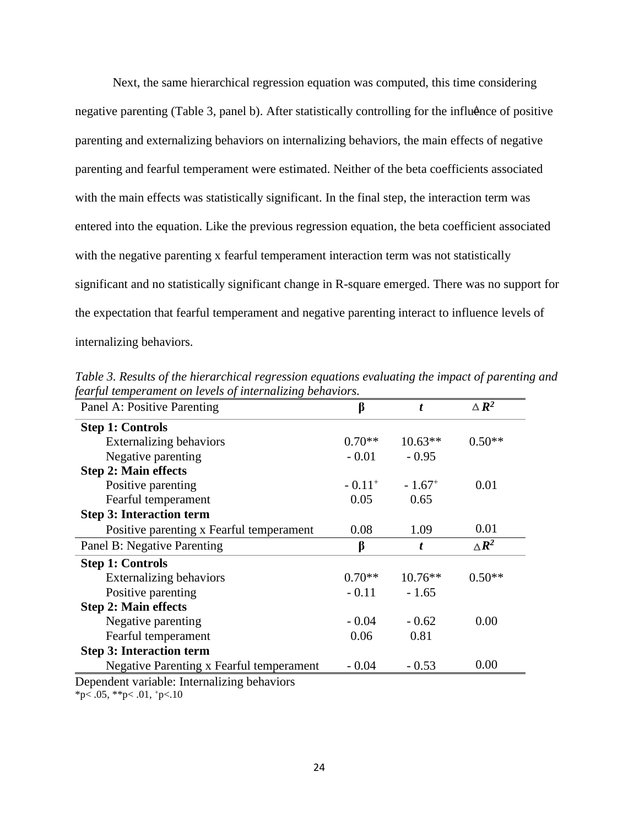negative parenting (Table 3, panel b). After statistically controlling for the influence of positive Next, the same hierarchical regression equation was computed, this time considering parenting and externalizing behaviors on internalizing behaviors, the main effects of negative parenting and fearful temperament were estimated. Neither of the beta coefficients associated with the main effects was statistically significant. In the final step, the interaction term was entered into the equation. Like the previous regression equation, the beta coefficient associated with the negative parenting x fearful temperament interaction term was not statistically significant and no statistically significant change in R-square emerged. There was no support for the expectation that fearful temperament and negative parenting interact to influence levels of internalizing behaviors.

| Panel A: Positive Parenting              | β                    | t.                   | $\triangle R^2$ |
|------------------------------------------|----------------------|----------------------|-----------------|
| <b>Step 1: Controls</b>                  |                      |                      |                 |
| <b>Externalizing behaviors</b>           | $0.70**$             | $10.63**$            | $0.50**$        |
| Negative parenting                       | $-0.01$              | $-0.95$              |                 |
| <b>Step 2: Main effects</b>              |                      |                      |                 |
| Positive parenting                       | $-0.11$ <sup>+</sup> | $-1.67$ <sup>+</sup> | 0.01            |
| Fearful temperament                      | 0.05                 | 0.65                 |                 |
| <b>Step 3: Interaction term</b>          |                      |                      |                 |
| Positive parenting x Fearful temperament | 0.08                 | 1.09                 | 0.01            |
| Panel B: Negative Parenting              | β                    | t                    | $\triangle R^2$ |
| <b>Step 1: Controls</b>                  |                      |                      |                 |
| <b>Externalizing behaviors</b>           | $0.70**$             | $10.76**$            | $0.50**$        |
| Positive parenting                       | $-0.11$              | $-1.65$              |                 |
| <b>Step 2: Main effects</b>              |                      |                      |                 |
| Negative parenting                       | $-0.04$              | $-0.62$              | 0.00            |
| Fearful temperament                      | 0.06                 | 0.81                 |                 |
| <b>Step 3: Interaction term</b>          |                      |                      |                 |
| Negative Parenting x Fearful temperament | $-0.04$              | $-0.53$              | 0.00            |

*Table 3. Results of the hierarchical regression equations evaluating the impact of parenting and fearful temperament on levels of internalizing behaviors.*

Dependent variable: Internalizing behaviors

 $*p< .05$ ,  $*p< .01$ ,  $p< .10$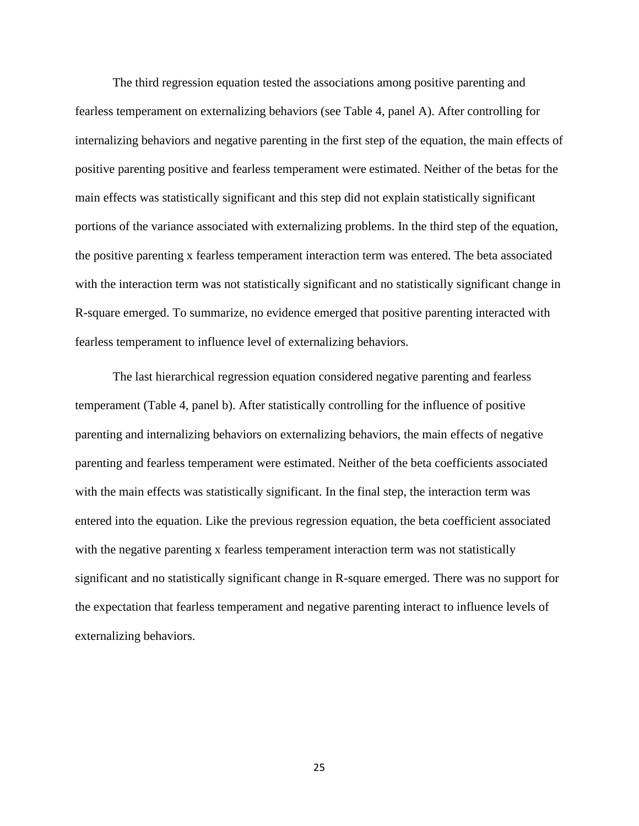The third regression equation tested the associations among positive parenting and fearless temperament on externalizing behaviors (see Table 4, panel A). After controlling for internalizing behaviors and negative parenting in the first step of the equation, the main effects of positive parenting positive and fearless temperament were estimated. Neither of the betas for the main effects was statistically significant and this step did not explain statistically significant portions of the variance associated with externalizing problems. In the third step of the equation, the positive parenting x fearless temperament interaction term was entered. The beta associated with the interaction term was not statistically significant and no statistically significant change in R-square emerged. To summarize, no evidence emerged that positive parenting interacted with fearless temperament to influence level of externalizing behaviors.

The last hierarchical regression equation considered negative parenting and fearless temperament (Table 4, panel b). After statistically controlling for the influence of positive parenting and internalizing behaviors on externalizing behaviors, the main effects of negative parenting and fearless temperament were estimated. Neither of the beta coefficients associated with the main effects was statistically significant. In the final step, the interaction term was entered into the equation. Like the previous regression equation, the beta coefficient associated with the negative parenting x fearless temperament interaction term was not statistically significant and no statistically significant change in R-square emerged. There was no support for the expectation that fearless temperament and negative parenting interact to influence levels of externalizing behaviors.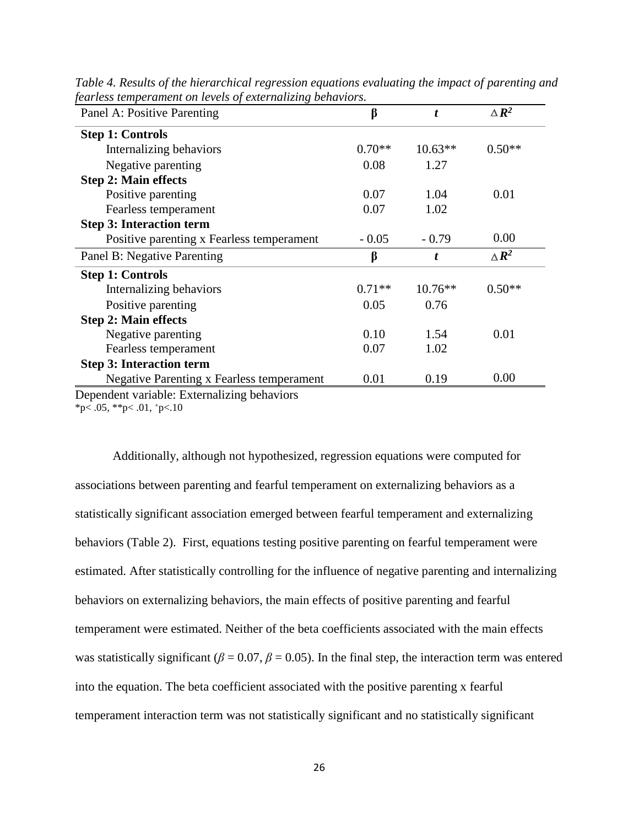| Panel A: Positive Parenting                      | β        | t         | $\triangle R^2$ |
|--------------------------------------------------|----------|-----------|-----------------|
| <b>Step 1: Controls</b>                          |          |           |                 |
| Internalizing behaviors                          | $0.70**$ | $10.63**$ | $0.50**$        |
| Negative parenting                               | 0.08     | 1.27      |                 |
| <b>Step 2: Main effects</b>                      |          |           |                 |
| Positive parenting                               | 0.07     | 1.04      | 0.01            |
| Fearless temperament                             | 0.07     | 1.02      |                 |
| <b>Step 3: Interaction term</b>                  |          |           |                 |
| Positive parenting x Fearless temperament        | $-0.05$  | $-0.79$   | 0.00            |
| Panel B: Negative Parenting                      | β        | t         | $\triangle R^2$ |
|                                                  |          |           |                 |
| <b>Step 1: Controls</b>                          |          |           |                 |
| Internalizing behaviors                          | $0.71**$ | $10.76**$ | $0.50**$        |
| Positive parenting                               | 0.05     | 0.76      |                 |
| <b>Step 2: Main effects</b>                      |          |           |                 |
| Negative parenting                               | 0.10     | 1.54      | 0.01            |
| Fearless temperament                             | 0.07     | 1.02      |                 |
| <b>Step 3: Interaction term</b>                  |          |           |                 |
| <b>Negative Parenting x Fearless temperament</b> | 0.01     | 0.19      | 0.00            |

*Table 4. Results of the hierarchical regression equations evaluating the impact of parenting and fearless temperament on levels of externalizing behaviors.*

Dependent variable: Externalizing behaviors

\*p $< .05,$  \*\*p $< .01,$  +p $< .10$ 

Additionally, although not hypothesized, regression equations were computed for associations between parenting and fearful temperament on externalizing behaviors as a statistically significant association emerged between fearful temperament and externalizing behaviors (Table 2). First, equations testing positive parenting on fearful temperament were estimated. After statistically controlling for the influence of negative parenting and internalizing behaviors on externalizing behaviors, the main effects of positive parenting and fearful temperament were estimated. Neither of the beta coefficients associated with the main effects was statistically significant ( $\beta$  = 0.07,  $\beta$  = 0.05). In the final step, the interaction term was entered into the equation. The beta coefficient associated with the positive parenting x fearful temperament interaction term was not statistically significant and no statistically significant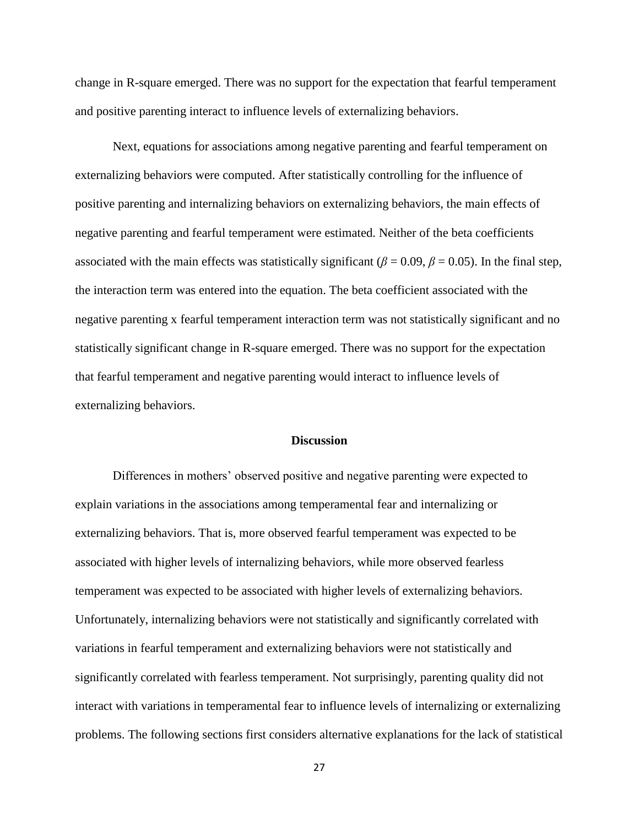change in R-square emerged. There was no support for the expectation that fearful temperament and positive parenting interact to influence levels of externalizing behaviors.

Next, equations for associations among negative parenting and fearful temperament on externalizing behaviors were computed. After statistically controlling for the influence of positive parenting and internalizing behaviors on externalizing behaviors, the main effects of negative parenting and fearful temperament were estimated. Neither of the beta coefficients associated with the main effects was statistically significant ( $\beta = 0.09$ ,  $\beta = 0.05$ ). In the final step, the interaction term was entered into the equation. The beta coefficient associated with the negative parenting x fearful temperament interaction term was not statistically significant and no statistically significant change in R-square emerged. There was no support for the expectation that fearful temperament and negative parenting would interact to influence levels of externalizing behaviors.

#### **Discussion**

Differences in mothers' observed positive and negative parenting were expected to explain variations in the associations among temperamental fear and internalizing or externalizing behaviors. That is, more observed fearful temperament was expected to be associated with higher levels of internalizing behaviors, while more observed fearless temperament was expected to be associated with higher levels of externalizing behaviors. Unfortunately, internalizing behaviors were not statistically and significantly correlated with variations in fearful temperament and externalizing behaviors were not statistically and significantly correlated with fearless temperament. Not surprisingly, parenting quality did not interact with variations in temperamental fear to influence levels of internalizing or externalizing problems. The following sections first considers alternative explanations for the lack of statistical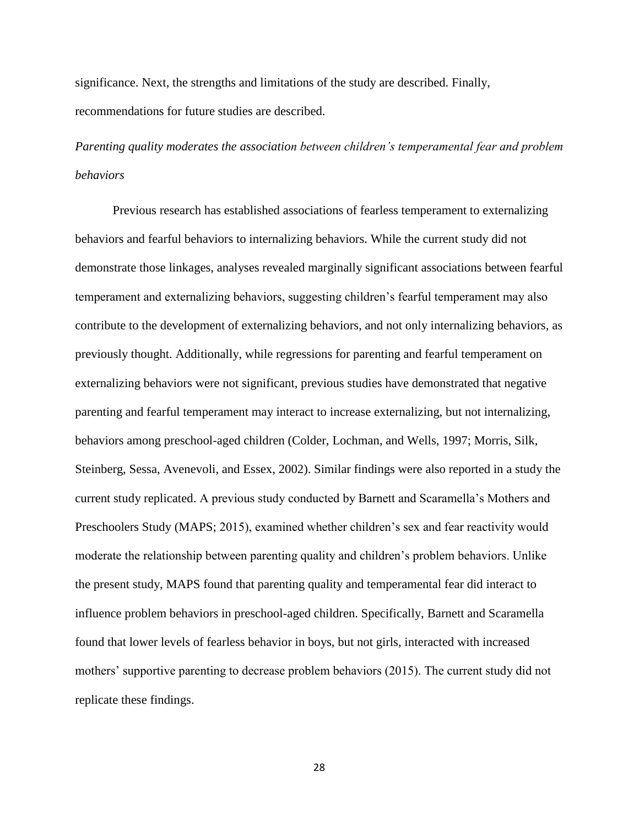significance. Next, the strengths and limitations of the study are described. Finally, recommendations for future studies are described.

*Parenting quality moderates the association between children's temperamental fear and problem behaviors*

Previous research has established associations of fearless temperament to externalizing behaviors and fearful behaviors to internalizing behaviors. While the current study did not demonstrate those linkages, analyses revealed marginally significant associations between fearful temperament and externalizing behaviors, suggesting children's fearful temperament may also contribute to the development of externalizing behaviors, and not only internalizing behaviors, as previously thought. Additionally, while regressions for parenting and fearful temperament on externalizing behaviors were not significant, previous studies have demonstrated that negative parenting and fearful temperament may interact to increase externalizing, but not internalizing, behaviors among preschool-aged children (Colder, Lochman, and Wells, 1997; Morris, Silk, Steinberg, Sessa, Avenevoli, and Essex, 2002). Similar findings were also reported in a study the current study replicated. A previous study conducted by Barnett and Scaramella's Mothers and Preschoolers Study (MAPS; 2015), examined whether children's sex and fear reactivity would moderate the relationship between parenting quality and children's problem behaviors. Unlike the present study, MAPS found that parenting quality and temperamental fear did interact to influence problem behaviors in preschool-aged children. Specifically, Barnett and Scaramella found that lower levels of fearless behavior in boys, but not girls, interacted with increased mothers' supportive parenting to decrease problem behaviors (2015). The current study did not replicate these findings.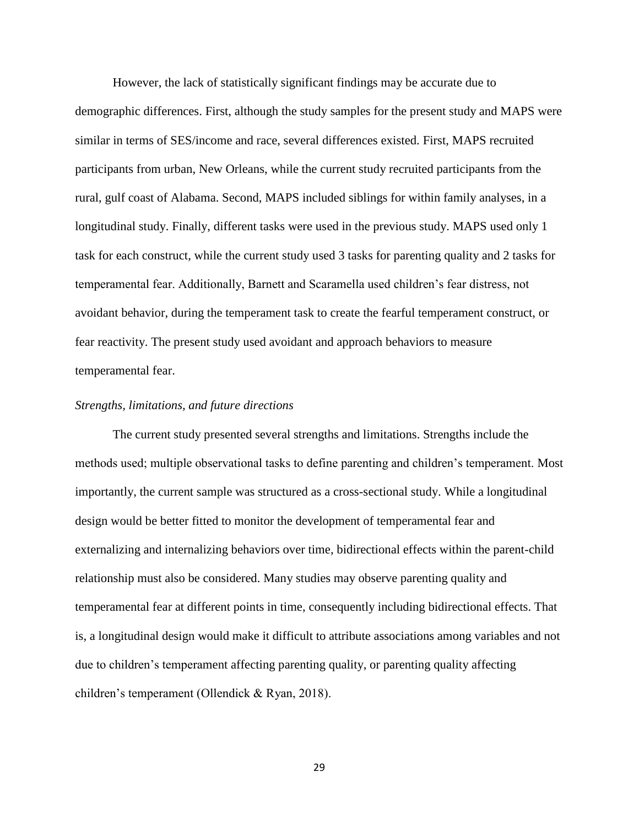However, the lack of statistically significant findings may be accurate due to demographic differences. First, although the study samples for the present study and MAPS were similar in terms of SES/income and race, several differences existed. First, MAPS recruited participants from urban, New Orleans, while the current study recruited participants from the rural, gulf coast of Alabama. Second, MAPS included siblings for within family analyses, in a longitudinal study. Finally, different tasks were used in the previous study. MAPS used only 1 task for each construct, while the current study used 3 tasks for parenting quality and 2 tasks for temperamental fear. Additionally, Barnett and Scaramella used children's fear distress, not avoidant behavior, during the temperament task to create the fearful temperament construct, or fear reactivity. The present study used avoidant and approach behaviors to measure temperamental fear.

#### *Strengths, limitations, and future directions*

The current study presented several strengths and limitations. Strengths include the methods used; multiple observational tasks to define parenting and children's temperament. Most importantly, the current sample was structured as a cross-sectional study. While a longitudinal design would be better fitted to monitor the development of temperamental fear and externalizing and internalizing behaviors over time, bidirectional effects within the parent-child relationship must also be considered. Many studies may observe parenting quality and temperamental fear at different points in time, consequently including bidirectional effects. That is, a longitudinal design would make it difficult to attribute associations among variables and not due to children's temperament affecting parenting quality, or parenting quality affecting children's temperament (Ollendick & Ryan, 2018).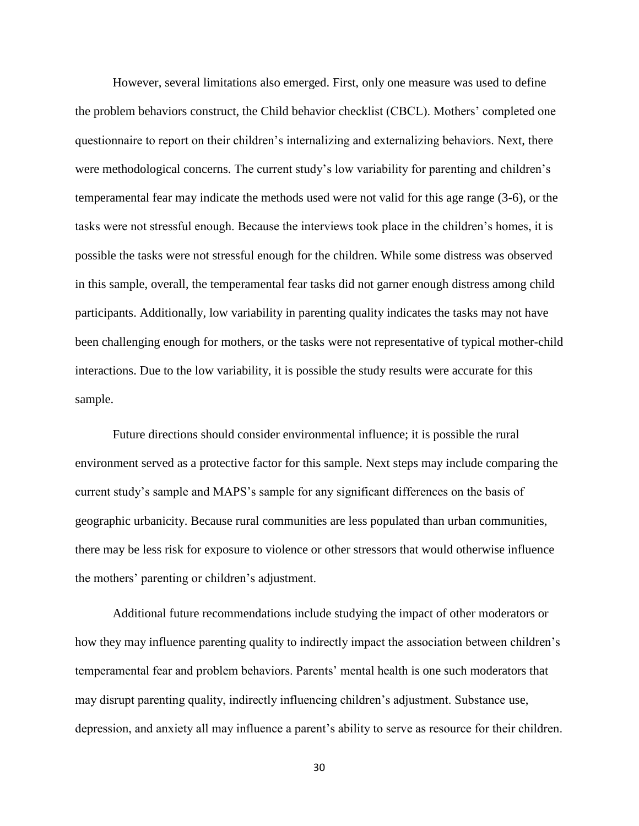However, several limitations also emerged. First, only one measure was used to define the problem behaviors construct, the Child behavior checklist (CBCL). Mothers' completed one questionnaire to report on their children's internalizing and externalizing behaviors. Next, there were methodological concerns. The current study's low variability for parenting and children's temperamental fear may indicate the methods used were not valid for this age range (3-6), or the tasks were not stressful enough. Because the interviews took place in the children's homes, it is possible the tasks were not stressful enough for the children. While some distress was observed in this sample, overall, the temperamental fear tasks did not garner enough distress among child participants. Additionally, low variability in parenting quality indicates the tasks may not have been challenging enough for mothers, or the tasks were not representative of typical mother-child interactions. Due to the low variability, it is possible the study results were accurate for this sample.

Future directions should consider environmental influence; it is possible the rural environment served as a protective factor for this sample. Next steps may include comparing the current study's sample and MAPS's sample for any significant differences on the basis of geographic urbanicity. Because rural communities are less populated than urban communities, there may be less risk for exposure to violence or other stressors that would otherwise influence the mothers' parenting or children's adjustment.

Additional future recommendations include studying the impact of other moderators or how they may influence parenting quality to indirectly impact the association between children's temperamental fear and problem behaviors. Parents' mental health is one such moderators that may disrupt parenting quality, indirectly influencing children's adjustment. Substance use, depression, and anxiety all may influence a parent's ability to serve as resource for their children.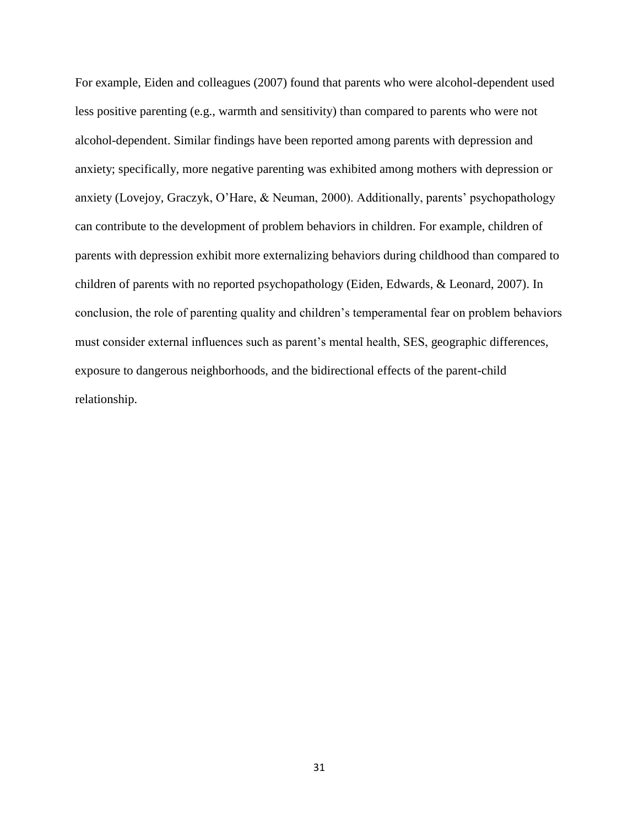For example, Eiden and colleagues (2007) found that parents who were alcohol-dependent used less positive parenting (e.g., warmth and sensitivity) than compared to parents who were not alcohol-dependent. Similar findings have been reported among parents with depression and anxiety; specifically, more negative parenting was exhibited among mothers with depression or anxiety (Lovejoy, Graczyk, O'Hare, & Neuman, 2000). Additionally, parents' psychopathology can contribute to the development of problem behaviors in children. For example, children of parents with depression exhibit more externalizing behaviors during childhood than compared to children of parents with no reported psychopathology (Eiden, Edwards, & Leonard, 2007). In conclusion, the role of parenting quality and children's temperamental fear on problem behaviors must consider external influences such as parent's mental health, SES, geographic differences, exposure to dangerous neighborhoods, and the bidirectional effects of the parent-child relationship.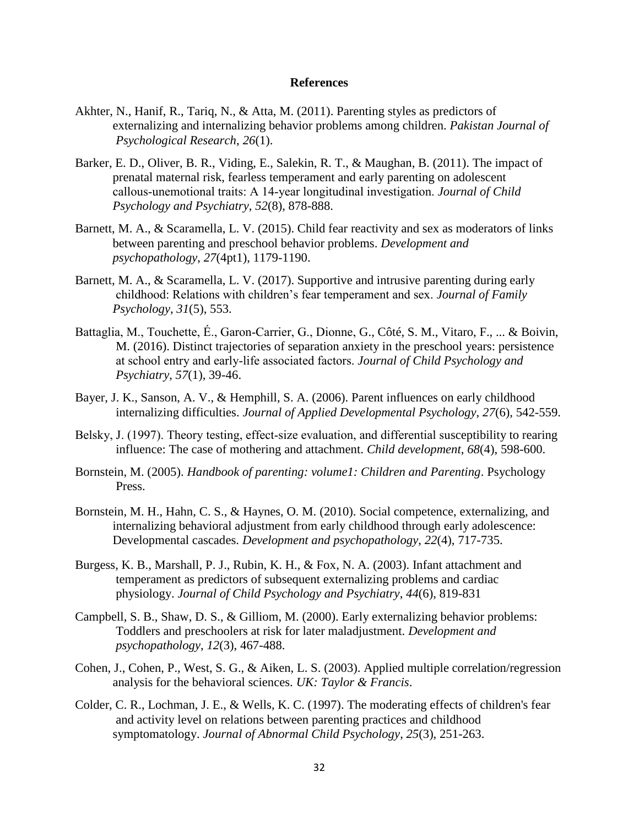#### **References**

- Akhter, N., Hanif, R., Tariq, N., & Atta, M. (2011). Parenting styles as predictors of externalizing and internalizing behavior problems among children. *Pakistan Journal of Psychological Research*, *26*(1).
- Barker, E. D., Oliver, B. R., Viding, E., Salekin, R. T., & Maughan, B. (2011). The impact of prenatal maternal risk, fearless temperament and early parenting on adolescent callous‐unemotional traits: A 14‐year longitudinal investigation. *Journal of Child Psychology and Psychiatry*, *52*(8), 878-888.
- Barnett, M. A., & Scaramella, L. V. (2015). Child fear reactivity and sex as moderators of links between parenting and preschool behavior problems. *Development and psychopathology*, *27*(4pt1), 1179-1190.
- Barnett, M. A., & Scaramella, L. V. (2017). Supportive and intrusive parenting during early childhood: Relations with children's fear temperament and sex. *Journal of Family Psychology*, *31*(5), 553.
- Battaglia, M., Touchette, É., Garon‐Carrier, G., Dionne, G., Côté, S. M., Vitaro, F., ... & Boivin, M. (2016). Distinct trajectories of separation anxiety in the preschool years: persistence at school entry and early‐life associated factors. *Journal of Child Psychology and Psychiatry*, *57*(1), 39-46.
- Bayer, J. K., Sanson, A. V., & Hemphill, S. A. (2006). Parent influences on early childhood internalizing difficulties. *Journal of Applied Developmental Psychology*, *27*(6), 542-559.
- Belsky, J. (1997). Theory testing, effect-size evaluation, and differential susceptibility to rearing influence: The case of mothering and attachment. *Child development*, *68*(4), 598-600.
- Bornstein, M. (2005). *Handbook of parenting: volume1: Children and Parenting*. Psychology Press.
- Bornstein, M. H., Hahn, C. S., & Haynes, O. M. (2010). Social competence, externalizing, and internalizing behavioral adjustment from early childhood through early adolescence: Developmental cascades. *Development and psychopathology*, *22*(4), 717-735.
- Burgess, K. B., Marshall, P. J., Rubin, K. H., & Fox, N. A. (2003). Infant attachment and temperament as predictors of subsequent externalizing problems and cardiac physiology. *Journal of Child Psychology and Psychiatry*, *44*(6), 819-831
- Campbell, S. B., Shaw, D. S., & Gilliom, M. (2000). Early externalizing behavior problems: Toddlers and preschoolers at risk for later maladjustment. *Development and psychopathology*, *12*(3), 467-488.
- Cohen, J., Cohen, P., West, S. G., & Aiken, L. S. (2003). Applied multiple correlation/regression analysis for the behavioral sciences. *UK: Taylor & Francis*.
- Colder, C. R., Lochman, J. E., & Wells, K. C. (1997). The moderating effects of children's fear and activity level on relations between parenting practices and childhood symptomatology. *Journal of Abnormal Child Psychology*, *25*(3), 251-263.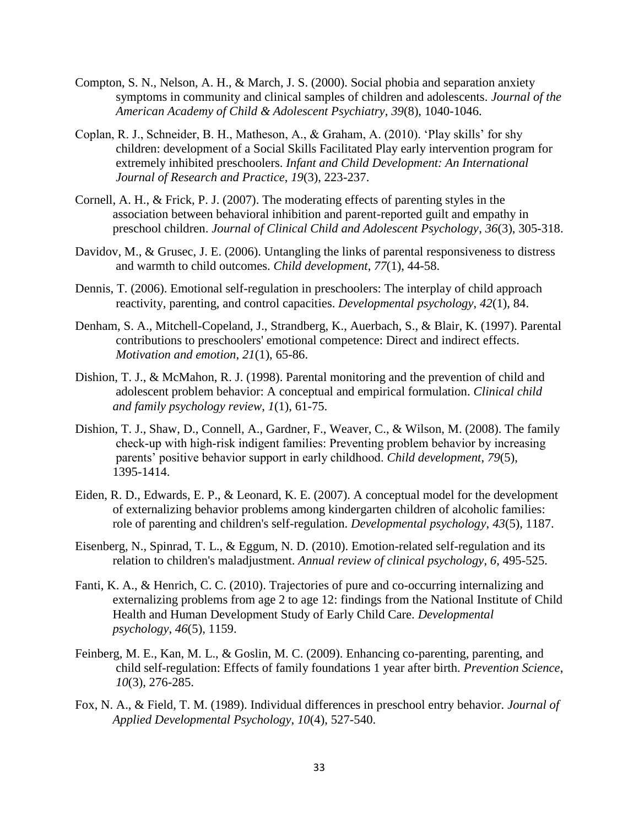- Compton, S. N., Nelson, A. H., & March, J. S. (2000). Social phobia and separation anxiety symptoms in community and clinical samples of children and adolescents. *Journal of the American Academy of Child & Adolescent Psychiatry*, *39*(8), 1040-1046.
- Coplan, R. J., Schneider, B. H., Matheson, A., & Graham, A. (2010). 'Play skills' for shy children: development of a Social Skills Facilitated Play early intervention program for extremely inhibited preschoolers. *Infant and Child Development: An International Journal of Research and Practice*, *19*(3), 223-237.
- Cornell, A. H., & Frick, P. J. (2007). The moderating effects of parenting styles in the association between behavioral inhibition and parent-reported guilt and empathy in preschool children. *Journal of Clinical Child and Adolescent Psychology*, *36*(3), 305-318.
- Davidov, M., & Grusec, J. E. (2006). Untangling the links of parental responsiveness to distress and warmth to child outcomes. *Child development*, *77*(1), 44-58.
- Dennis, T. (2006). Emotional self-regulation in preschoolers: The interplay of child approach reactivity, parenting, and control capacities. *Developmental psychology*, *42*(1), 84.
- Denham, S. A., Mitchell-Copeland, J., Strandberg, K., Auerbach, S., & Blair, K. (1997). Parental contributions to preschoolers' emotional competence: Direct and indirect effects. *Motivation and emotion*, *21*(1), 65-86.
- Dishion, T. J., & McMahon, R. J. (1998). Parental monitoring and the prevention of child and adolescent problem behavior: A conceptual and empirical formulation. *Clinical child and family psychology review*, *1*(1), 61-75.
- Dishion, T. J., Shaw, D., Connell, A., Gardner, F., Weaver, C., & Wilson, M. (2008). The family check‐up with high‐risk indigent families: Preventing problem behavior by increasing parents' positive behavior support in early childhood. *Child development*, *79*(5), 1395-1414.
- Eiden, R. D., Edwards, E. P., & Leonard, K. E. (2007). A conceptual model for the development of externalizing behavior problems among kindergarten children of alcoholic families: role of parenting and children's self-regulation. *Developmental psychology*, *43*(5), 1187.
- Eisenberg, N., Spinrad, T. L., & Eggum, N. D. (2010). Emotion-related self-regulation and its relation to children's maladjustment. *Annual review of clinical psychology*, *6*, 495-525.
- Fanti, K. A., & Henrich, C. C. (2010). Trajectories of pure and co-occurring internalizing and externalizing problems from age 2 to age 12: findings from the National Institute of Child Health and Human Development Study of Early Child Care. *Developmental psychology*, *46*(5), 1159.
- Feinberg, M. E., Kan, M. L., & Goslin, M. C. (2009). Enhancing co-parenting, parenting, and child self-regulation: Effects of family foundations 1 year after birth. *Prevention Science*, *10*(3), 276-285.
- Fox, N. A., & Field, T. M. (1989). Individual differences in preschool entry behavior. *Journal of Applied Developmental Psychology*, *10*(4), 527-540.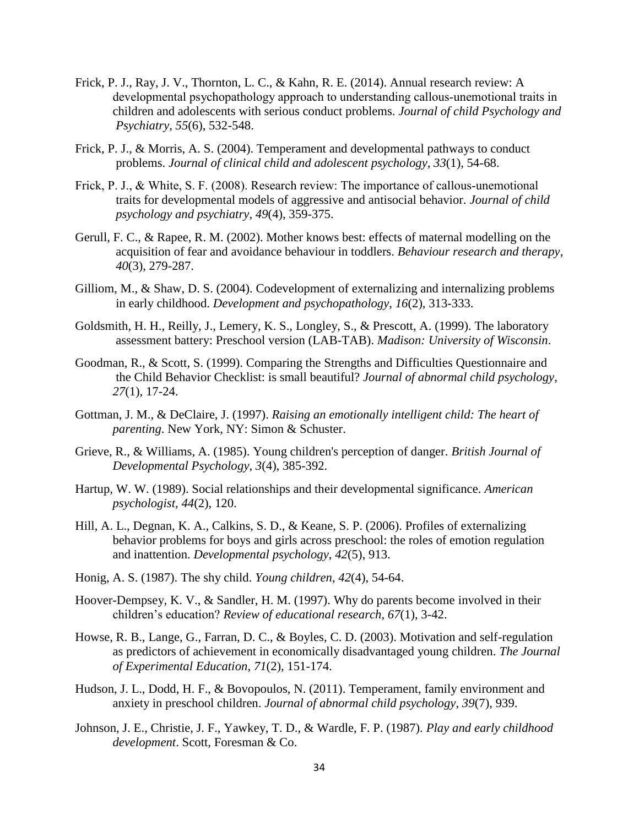- Frick, P. J., Ray, J. V., Thornton, L. C., & Kahn, R. E. (2014). Annual research review: A developmental psychopathology approach to understanding callous-unemotional traits in children and adolescents with serious conduct problems. *Journal of child Psychology and Psychiatry*, *55*(6), 532-548.
- Frick, P. J., & Morris, A. S. (2004). Temperament and developmental pathways to conduct problems. *Journal of clinical child and adolescent psychology*, *33*(1), 54-68.
- Frick, P. J., & White, S. F. (2008). Research review: The importance of callous-unemotional traits for developmental models of aggressive and antisocial behavior. *Journal of child psychology and psychiatry*, *49*(4), 359-375.
- Gerull, F. C., & Rapee, R. M. (2002). Mother knows best: effects of maternal modelling on the acquisition of fear and avoidance behaviour in toddlers. *Behaviour research and therapy*, *40*(3), 279-287.
- Gilliom, M., & Shaw, D. S. (2004). Codevelopment of externalizing and internalizing problems in early childhood. *Development and psychopathology*, *16*(2), 313-333.
- Goldsmith, H. H., Reilly, J., Lemery, K. S., Longley, S., & Prescott, A. (1999). The laboratory assessment battery: Preschool version (LAB-TAB). *Madison: University of Wisconsin*.
- Goodman, R., & Scott, S. (1999). Comparing the Strengths and Difficulties Questionnaire and the Child Behavior Checklist: is small beautiful? *Journal of abnormal child psychology*, *27*(1), 17-24.
- Gottman, J. M., & DeClaire, J. (1997). *Raising an emotionally intelligent child: The heart of parenting*. New York, NY: Simon & Schuster.
- Grieve, R., & Williams, A. (1985). Young children's perception of danger. *British Journal of Developmental Psychology*, *3*(4), 385-392.
- Hartup, W. W. (1989). Social relationships and their developmental significance. *American psychologist*, *44*(2), 120.
- Hill, A. L., Degnan, K. A., Calkins, S. D., & Keane, S. P. (2006). Profiles of externalizing behavior problems for boys and girls across preschool: the roles of emotion regulation and inattention. *Developmental psychology*, *42*(5), 913.
- Honig, A. S. (1987). The shy child. *Young children*, *42*(4), 54-64.
- Hoover-Dempsey, K. V., & Sandler, H. M. (1997). Why do parents become involved in their children's education? *Review of educational research*, *67*(1), 3-42.
- Howse, R. B., Lange, G., Farran, D. C., & Boyles, C. D. (2003). Motivation and self-regulation as predictors of achievement in economically disadvantaged young children. *The Journal of Experimental Education*, *71*(2), 151-174.
- Hudson, J. L., Dodd, H. F., & Bovopoulos, N. (2011). Temperament, family environment and anxiety in preschool children. *Journal of abnormal child psychology*, *39*(7), 939.
- Johnson, J. E., Christie, J. F., Yawkey, T. D., & Wardle, F. P. (1987). *Play and early childhood development*. Scott, Foresman & Co.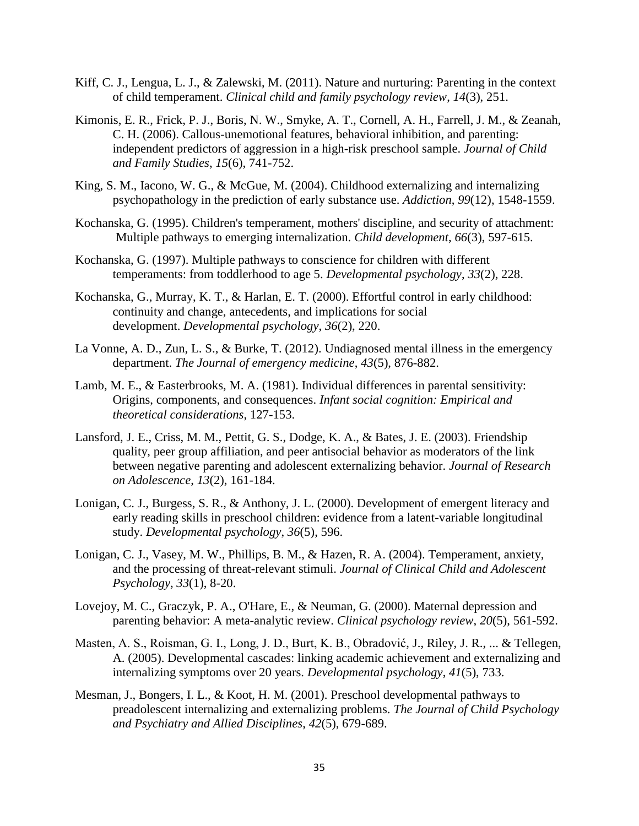- Kiff, C. J., Lengua, L. J., & Zalewski, M. (2011). Nature and nurturing: Parenting in the context of child temperament. *Clinical child and family psychology review*, *14*(3), 251.
- Kimonis, E. R., Frick, P. J., Boris, N. W., Smyke, A. T., Cornell, A. H., Farrell, J. M., & Zeanah, C. H. (2006). Callous-unemotional features, behavioral inhibition, and parenting: independent predictors of aggression in a high-risk preschool sample. *Journal of Child and Family Studies*, *15*(6), 741-752.
- King, S. M., Iacono, W. G., & McGue, M. (2004). Childhood externalizing and internalizing psychopathology in the prediction of early substance use. *Addiction*, *99*(12), 1548-1559.
- Kochanska, G. (1995). Children's temperament, mothers' discipline, and security of attachment: Multiple pathways to emerging internalization. *Child development*, *66*(3), 597-615.
- Kochanska, G. (1997). Multiple pathways to conscience for children with different temperaments: from toddlerhood to age 5. *Developmental psychology*, *33*(2), 228.
- Kochanska, G., Murray, K. T., & Harlan, E. T. (2000). Effortful control in early childhood: continuity and change, antecedents, and implications for social development. *Developmental psychology*, *36*(2), 220.
- La Vonne, A. D., Zun, L. S., & Burke, T. (2012). Undiagnosed mental illness in the emergency department. *The Journal of emergency medicine*, *43*(5), 876-882.
- Lamb, M. E., & Easterbrooks, M. A. (1981). Individual differences in parental sensitivity: Origins, components, and consequences. *Infant social cognition: Empirical and theoretical considerations*, 127-153.
- Lansford, J. E., Criss, M. M., Pettit, G. S., Dodge, K. A., & Bates, J. E. (2003). Friendship quality, peer group affiliation, and peer antisocial behavior as moderators of the link between negative parenting and adolescent externalizing behavior. *Journal of Research on Adolescence*, *13*(2), 161-184.
- Lonigan, C. J., Burgess, S. R., & Anthony, J. L. (2000). Development of emergent literacy and early reading skills in preschool children: evidence from a latent-variable longitudinal study. *Developmental psychology*, *36*(5), 596.
- Lonigan, C. J., Vasey, M. W., Phillips, B. M., & Hazen, R. A. (2004). Temperament, anxiety, and the processing of threat-relevant stimuli. *Journal of Clinical Child and Adolescent Psychology*, *33*(1), 8-20.
- Lovejoy, M. C., Graczyk, P. A., O'Hare, E., & Neuman, G. (2000). Maternal depression and parenting behavior: A meta-analytic review. *Clinical psychology review*, *20*(5), 561-592.
- Masten, A. S., Roisman, G. I., Long, J. D., Burt, K. B., Obradović, J., Riley, J. R., ... & Tellegen, A. (2005). Developmental cascades: linking academic achievement and externalizing and internalizing symptoms over 20 years. *Developmental psychology*, *41*(5), 733.
- Mesman, J., Bongers, I. L., & Koot, H. M. (2001). Preschool developmental pathways to preadolescent internalizing and externalizing problems. *The Journal of Child Psychology and Psychiatry and Allied Disciplines*, *42*(5), 679-689.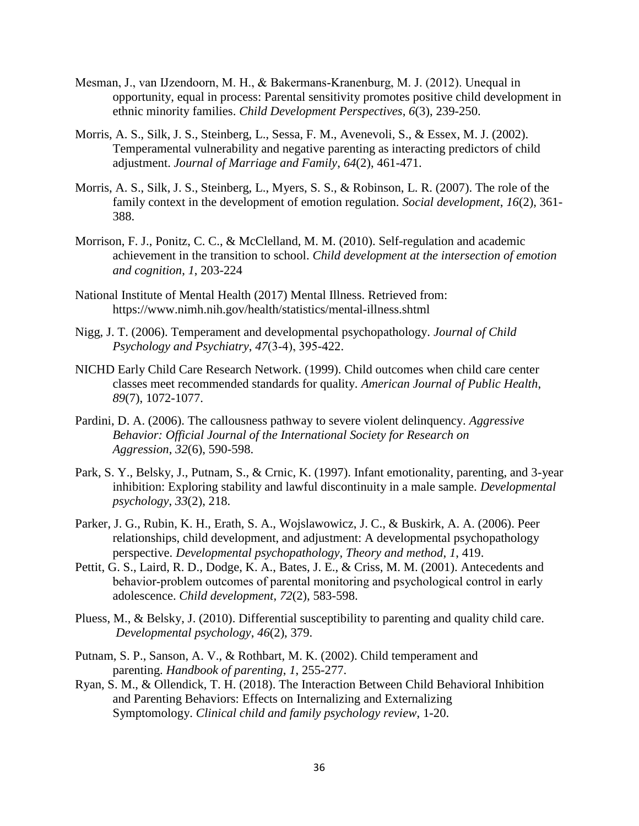- Mesman, J., van IJzendoorn, M. H., & Bakermans‐Kranenburg, M. J. (2012). Unequal in opportunity, equal in process: Parental sensitivity promotes positive child development in ethnic minority families. *Child Development Perspectives*, *6*(3), 239-250.
- Morris, A. S., Silk, J. S., Steinberg, L., Sessa, F. M., Avenevoli, S., & Essex, M. J. (2002). Temperamental vulnerability and negative parenting as interacting predictors of child adjustment. *Journal of Marriage and Family*, *64*(2), 461-471.
- Morris, A. S., Silk, J. S., Steinberg, L., Myers, S. S., & Robinson, L. R. (2007). The role of the family context in the development of emotion regulation. *Social development*, *16*(2), 361- 388.
- Morrison, F. J., Ponitz, C. C., & McClelland, M. M. (2010). Self-regulation and academic achievement in the transition to school. *Child development at the intersection of emotion and cognition*, *1*, 203-224
- National Institute of Mental Health (2017) Mental Illness. Retrieved from: https://www.nimh.nih.gov/health/statistics/mental-illness.shtml
- Nigg, J. T. (2006). Temperament and developmental psychopathology. *Journal of Child Psychology and Psychiatry*, *47*(3‐4), 395-422.
- NICHD Early Child Care Research Network. (1999). Child outcomes when child care center classes meet recommended standards for quality. *American Journal of Public Health*, *89*(7), 1072-1077.
- Pardini, D. A. (2006). The callousness pathway to severe violent delinquency. *Aggressive Behavior: Official Journal of the International Society for Research on Aggression*, *32*(6), 590-598.
- Park, S. Y., Belsky, J., Putnam, S., & Crnic, K. (1997). Infant emotionality, parenting, and 3-year inhibition: Exploring stability and lawful discontinuity in a male sample. *Developmental psychology*, *33*(2), 218.
- Parker, J. G., Rubin, K. H., Erath, S. A., Wojslawowicz, J. C., & Buskirk, A. A. (2006). Peer relationships, child development, and adjustment: A developmental psychopathology perspective. *Developmental psychopathology, Theory and method*, *1*, 419.
- Pettit, G. S., Laird, R. D., Dodge, K. A., Bates, J. E., & Criss, M. M. (2001). Antecedents and behavior-problem outcomes of parental monitoring and psychological control in early adolescence. *Child development*, *72*(2), 583-598.
- Pluess, M., & Belsky, J. (2010). Differential susceptibility to parenting and quality child care. *Developmental psychology*, *46*(2), 379.
- Putnam, S. P., Sanson, A. V., & Rothbart, M. K. (2002). Child temperament and parenting. *Handbook of parenting*, *1*, 255-277.
- Ryan, S. M., & Ollendick, T. H. (2018). The Interaction Between Child Behavioral Inhibition and Parenting Behaviors: Effects on Internalizing and Externalizing Symptomology. *Clinical child and family psychology review*, 1-20.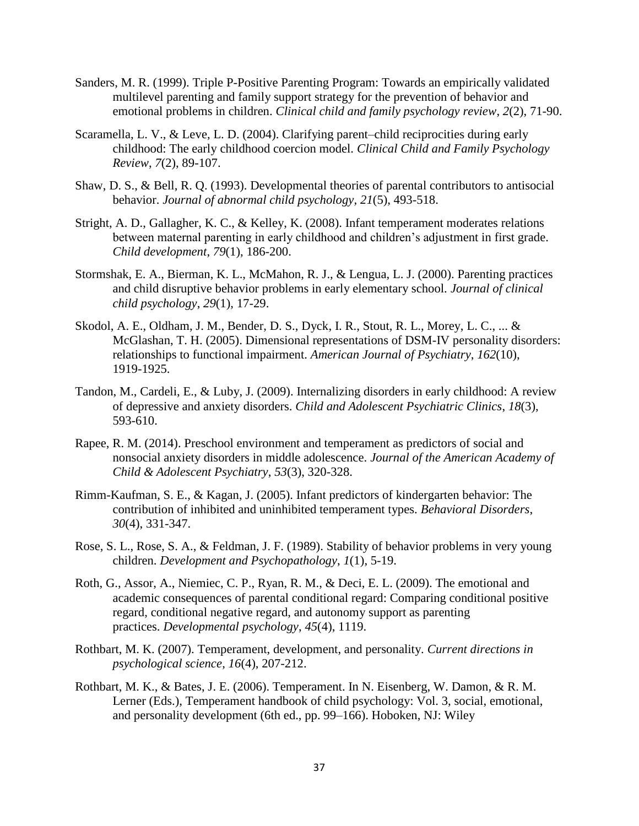- Sanders, M. R. (1999). Triple P-Positive Parenting Program: Towards an empirically validated multilevel parenting and family support strategy for the prevention of behavior and emotional problems in children. *Clinical child and family psychology review*, *2*(2), 71-90.
- Scaramella, L. V., & Leve, L. D. (2004). Clarifying parent–child reciprocities during early childhood: The early childhood coercion model. *Clinical Child and Family Psychology Review*, *7*(2), 89-107.
- Shaw, D. S., & Bell, R. Q. (1993). Developmental theories of parental contributors to antisocial behavior. *Journal of abnormal child psychology*, *21*(5), 493-518.
- Stright, A. D., Gallagher, K. C., & Kelley, K. (2008). Infant temperament moderates relations between maternal parenting in early childhood and children's adjustment in first grade. *Child development*, *79*(1), 186-200.
- Stormshak, E. A., Bierman, K. L., McMahon, R. J., & Lengua, L. J. (2000). Parenting practices and child disruptive behavior problems in early elementary school. *Journal of clinical child psychology*, *29*(1), 17-29.
- Skodol, A. E., Oldham, J. M., Bender, D. S., Dyck, I. R., Stout, R. L., Morey, L. C., ... & McGlashan, T. H. (2005). Dimensional representations of DSM-IV personality disorders: relationships to functional impairment. *American Journal of Psychiatry*, *162*(10), 1919-1925.
- Tandon, M., Cardeli, E., & Luby, J. (2009). Internalizing disorders in early childhood: A review of depressive and anxiety disorders. *Child and Adolescent Psychiatric Clinics*, *18*(3), 593-610.
- Rapee, R. M. (2014). Preschool environment and temperament as predictors of social and nonsocial anxiety disorders in middle adolescence. *Journal of the American Academy of Child & Adolescent Psychiatry*, *53*(3), 320-328.
- Rimm-Kaufman, S. E., & Kagan, J. (2005). Infant predictors of kindergarten behavior: The contribution of inhibited and uninhibited temperament types. *Behavioral Disorders*, *30*(4), 331-347.
- Rose, S. L., Rose, S. A., & Feldman, J. F. (1989). Stability of behavior problems in very young children. *Development and Psychopathology*, *1*(1), 5-19.
- Roth, G., Assor, A., Niemiec, C. P., Ryan, R. M., & Deci, E. L. (2009). The emotional and academic consequences of parental conditional regard: Comparing conditional positive regard, conditional negative regard, and autonomy support as parenting practices. *Developmental psychology*, *45*(4), 1119.
- Rothbart, M. K. (2007). Temperament, development, and personality. *Current directions in psychological science*, *16*(4), 207-212.
- Rothbart, M. K., & Bates, J. E. (2006). Temperament. In N. Eisenberg, W. Damon, & R. M. Lerner (Eds.), Temperament handbook of child psychology: Vol. 3, social, emotional, and personality development (6th ed., pp. 99–166). Hoboken, NJ: Wiley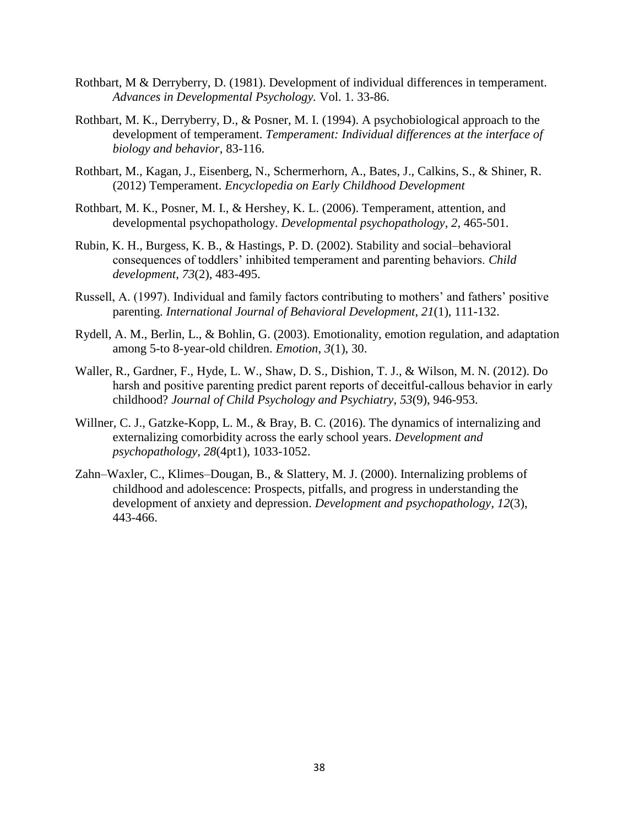- Rothbart, M & Derryberry, D. (1981). Development of individual differences in temperament. *Advances in Developmental Psychology.* Vol. 1. 33-86.
- Rothbart, M. K., Derryberry, D., & Posner, M. I. (1994). A psychobiological approach to the development of temperament. *Temperament: Individual differences at the interface of biology and behavior*, 83-116.
- Rothbart, M., Kagan, J., Eisenberg, N., Schermerhorn, A., Bates, J., Calkins, S., & Shiner, R. (2012) Temperament. *Encyclopedia on Early Childhood Development*
- Rothbart, M. K., Posner, M. I., & Hershey, K. L. (2006). Temperament, attention, and developmental psychopathology. *Developmental psychopathology*, *2*, 465-501.
- Rubin, K. H., Burgess, K. B., & Hastings, P. D. (2002). Stability and social–behavioral consequences of toddlers' inhibited temperament and parenting behaviors. *Child development*, *73*(2), 483-495.
- Russell, A. (1997). Individual and family factors contributing to mothers' and fathers' positive parenting. *International Journal of Behavioral Development*, *21*(1), 111-132.
- Rydell, A. M., Berlin, L., & Bohlin, G. (2003). Emotionality, emotion regulation, and adaptation among 5-to 8-year-old children. *Emotion*, *3*(1), 30.
- Waller, R., Gardner, F., Hyde, L. W., Shaw, D. S., Dishion, T. J., & Wilson, M. N. (2012). Do harsh and positive parenting predict parent reports of deceitful-callous behavior in early childhood? *Journal of Child Psychology and Psychiatry*, *53*(9), 946-953.
- Willner, C. J., Gatzke-Kopp, L. M., & Bray, B. C. (2016). The dynamics of internalizing and externalizing comorbidity across the early school years. *Development and psychopathology*, *28*(4pt1), 1033-1052.
- Zahn–Waxler, C., Klimes–Dougan, B., & Slattery, M. J. (2000). Internalizing problems of childhood and adolescence: Prospects, pitfalls, and progress in understanding the development of anxiety and depression. *Development and psychopathology*, *12*(3), 443-466.